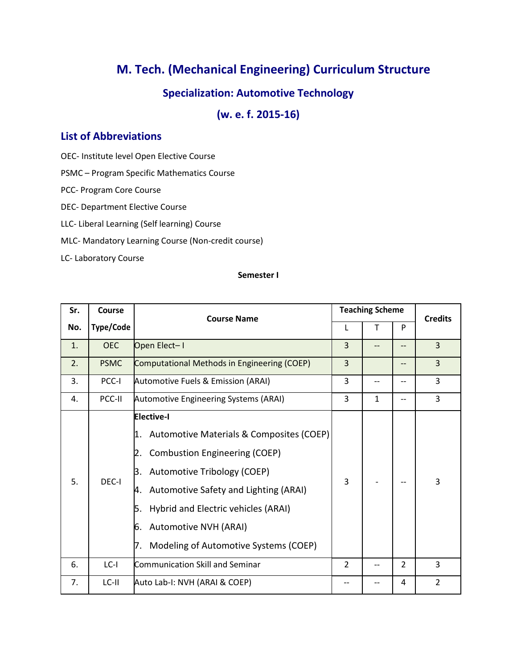# **M. Tech. (Mechanical Engineering) Curriculum Structure**

# **Specialization: Automotive Technology**

**(w. e. f. 2015-16)**

# **List of Abbreviations**

OEC- Institute level Open Elective Course

PSMC – Program Specific Mathematics Course

PCC- Program Core Course

DEC- Department Elective Course

LLC- Liberal Learning (Self learning) Course

MLC- Mandatory Learning Course (Non-credit course)

LC- Laboratory Course

#### **Semester I**

| Sr. | Course           | <b>Course Name</b>                                                                                                                                                                                                                                                                                                                |                | <b>Teaching Scheme</b> |                |                |
|-----|------------------|-----------------------------------------------------------------------------------------------------------------------------------------------------------------------------------------------------------------------------------------------------------------------------------------------------------------------------------|----------------|------------------------|----------------|----------------|
| No. | <b>Type/Code</b> |                                                                                                                                                                                                                                                                                                                                   |                |                        | P              | <b>Credits</b> |
| 1.  | <b>OEC</b>       | Open Elect-I                                                                                                                                                                                                                                                                                                                      | 3              |                        |                | $\overline{3}$ |
| 2.  | <b>PSMC</b>      | Computational Methods in Engineering (COEP)                                                                                                                                                                                                                                                                                       | 3              |                        | --             | 3              |
| 3.  | PCC-I            | Automotive Fuels & Emission (ARAI)                                                                                                                                                                                                                                                                                                | 3              |                        |                | 3              |
| 4.  | PCC-II           | <b>Automotive Engineering Systems (ARAI)</b>                                                                                                                                                                                                                                                                                      | 3              | $\mathbf{1}$           | $- -$          | 3              |
| 5.  | DEC-I            | <b>Elective-I</b><br>Automotive Materials & Composites (COEP)<br>1.<br><b>Combustion Engineering (COEP)</b><br>Automotive Tribology (COEP)<br>B.<br>Automotive Safety and Lighting (ARAI)<br>4.<br>Hybrid and Electric vehicles (ARAI)<br>5.<br><b>Automotive NVH (ARAI)</b><br>6.<br>Modeling of Automotive Systems (COEP)<br>7. | 3              |                        |                | 3              |
| 6.  | $LC-I$           | <b>Communication Skill and Seminar</b>                                                                                                                                                                                                                                                                                            | $\overline{2}$ |                        | $\overline{2}$ | 3              |
| 7.  | LC-II            | Auto Lab-I: NVH (ARAI & COEP)                                                                                                                                                                                                                                                                                                     | --             |                        | 4              | $\overline{2}$ |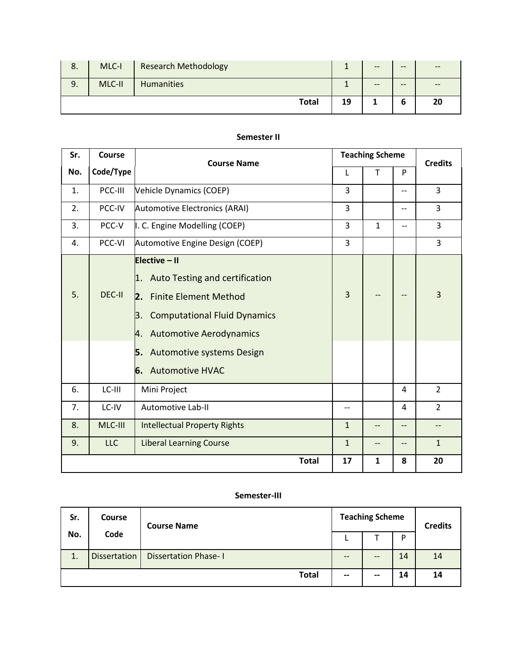| 8. | MLC-I  | <b>Research Methodology</b> |    | $- -$ | $- -$ | $- -$ |
|----|--------|-----------------------------|----|-------|-------|-------|
| 9. | MLC-II | <b>Humanities</b>           |    | $- -$ | $- -$ | $- -$ |
|    |        | <b>Total</b>                | 19 |       | b     | 20    |

#### **Semester II**

| Sr. | Course     | <b>Course Name</b>                                                                                                                                                                                                                        | <b>Teaching Scheme</b> |              |       | <b>Credits</b>    |
|-----|------------|-------------------------------------------------------------------------------------------------------------------------------------------------------------------------------------------------------------------------------------------|------------------------|--------------|-------|-------------------|
| No. | Code/Type  |                                                                                                                                                                                                                                           | L                      | T            | P     |                   |
| 1.  | PCC-III    | Vehicle Dynamics (COEP)                                                                                                                                                                                                                   | 3                      |              | --    | 3                 |
| 2.  | PCC-IV     | <b>Automotive Electronics (ARAI)</b>                                                                                                                                                                                                      | 3                      |              | $-$   | 3                 |
| 3.  | PCC-V      | I. C. Engine Modelling (COEP)                                                                                                                                                                                                             | 3                      | $\mathbf{1}$ | --    | 3                 |
| 4.  | PCC-VI     | Automotive Engine Design (COEP)                                                                                                                                                                                                           | 3                      |              |       | 3                 |
| 5.  | DEC-II     | Elective - II<br>Auto Testing and certification<br>1.<br>2. Finite Element Method<br><b>Computational Fluid Dynamics</b><br>3.<br><b>Automotive Aerodynamics</b><br>4.<br>Automotive systems Design<br>5.<br><b>Automotive HVAC</b><br>6. | 3                      |              |       | 3                 |
| 6.  | LC-III     | Mini Project                                                                                                                                                                                                                              |                        |              | 4     | $\overline{2}$    |
| 7.  | LC-IV      | Automotive Lab-II                                                                                                                                                                                                                         | --                     |              | 4     | $\overline{2}$    |
| 8.  | MLC-III    | <b>Intellectual Property Rights</b>                                                                                                                                                                                                       | $\mathbf{1}$           |              | $- -$ | $\qquad \qquad -$ |
| 9.  | <b>LLC</b> | <b>Liberal Learning Course</b>                                                                                                                                                                                                            | $\mathbf{1}$           | --           | $-$   | $\mathbf{1}$      |
|     |            | <b>Total</b>                                                                                                                                                                                                                              | 17                     | 1            | 8     | 20                |

#### **Semester-III**

| Sr. | <b>Course</b><br><b>Course Name</b> |                             | <b>Teaching Scheme</b>                |       |    | <b>Credits</b> |
|-----|-------------------------------------|-----------------------------|---------------------------------------|-------|----|----------------|
| No. | Code                                |                             | ∸                                     |       | D  |                |
| 1.  | <b>Dissertation</b>                 | <b>Dissertation Phase-I</b> | $\hspace{0.05cm}$ – $\hspace{0.05cm}$ |       | 14 | 14             |
|     |                                     | <b>Total</b>                | $\hspace{0.05cm}$ – $\hspace{0.05cm}$ | $- -$ | 14 | 14             |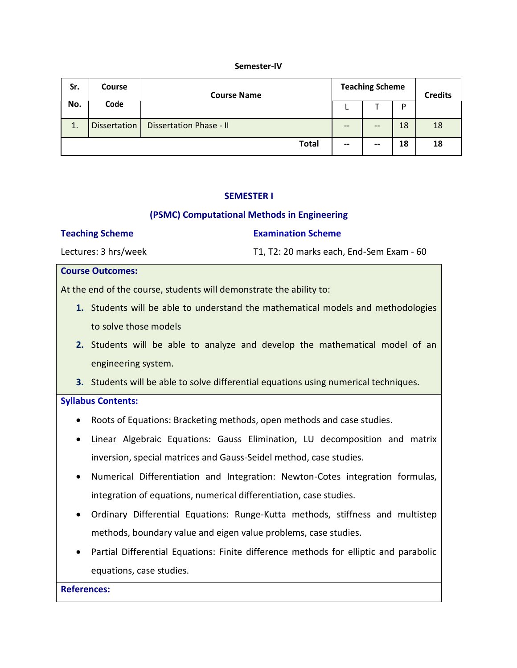#### **Semester-IV**

| Sr.     | <b>Course</b>       | <b>Course Name</b>             |                          | <b>Teaching Scheme</b> |    |    |
|---------|---------------------|--------------------------------|--------------------------|------------------------|----|----|
| No.     | Code                |                                | ►                        |                        | D  |    |
| 1<br>⊥. | <b>Dissertation</b> | <b>Dissertation Phase - II</b> | --                       | --                     | 18 | 18 |
|         |                     | <b>Total</b>                   | $\overline{\phantom{m}}$ | --                     | 18 | 18 |

#### **SEMESTER I**

## **(PSMC) Computational Methods in Engineering**

#### **Teaching Scheme**

#### **Examination Scheme**

Lectures: 3 hrs/week

T1, T2: 20 marks each, End-Sem Exam - 60

#### **Course Outcomes:**

At the end of the course, students will demonstrate the ability to:

- **1.** Students will be able to understand the mathematical models and methodologies to solve those models
- **2.** Students will be able to analyze and develop the mathematical model of an engineering system.
- **3.** Students will be able to solve differential equations using numerical techniques.

#### **Syllabus Contents:**

- Roots of Equations: Bracketing methods, open methods and case studies.
- Linear Algebraic Equations: Gauss Elimination, LU decomposition and matrix inversion, special matrices and Gauss-Seidel method, case studies.
- Numerical Differentiation and Integration: Newton-Cotes integration formulas, integration of equations, numerical differentiation, case studies.
- Ordinary Differential Equations: Runge-Kutta methods, stiffness and multistep methods, boundary value and eigen value problems, case studies.
- Partial Differential Equations: Finite difference methods for elliptic and parabolic equations, case studies.

## **References:**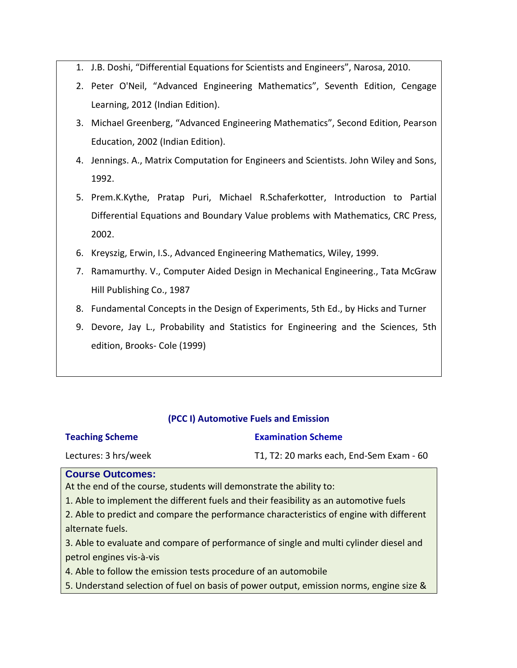- 1. J.B. Doshi, "Differential Equations for Scientists and Engineers", Narosa, 2010.
- 2. Peter O'Neil, "Advanced Engineering Mathematics", Seventh Edition, Cengage Learning, 2012 (Indian Edition).
- 3. Michael Greenberg, "Advanced Engineering Mathematics", Second Edition, Pearson Education, 2002 (Indian Edition).
- 4. Jennings. A., Matrix Computation for Engineers and Scientists. John Wiley and Sons, 1992.
- 5. Prem.K.Kythe, Pratap Puri, Michael R.Schaferkotter, Introduction to Partial Differential Equations and Boundary Value problems with Mathematics, CRC Press, 2002.
- 6. Kreyszig, Erwin, I.S., Advanced Engineering Mathematics, Wiley, 1999.
- 7. Ramamurthy. V., Computer Aided Design in Mechanical Engineering., Tata McGraw Hill Publishing Co., 1987
- 8. Fundamental Concepts in the Design of Experiments, 5th Ed., by Hicks and Turner
- 9. Devore, Jay L., Probability and Statistics for Engineering and the Sciences, 5th edition, Brooks- Cole (1999)

## **(PCC I) Automotive Fuels and Emission**

## **Teaching Scheme**

## **Examination Scheme**

Lectures: 3 hrs/week

T1, T2: 20 marks each, End-Sem Exam - 60

## **Course Outcomes:**

At the end of the course, students will demonstrate the ability to:

1. Able to implement the different fuels and their feasibility as an automotive fuels

2. Able to predict and compare the performance characteristics of engine with different alternate fuels.

3. Able to evaluate and compare of performance of single and multi cylinder diesel and petrol engines vis-à-vis

4. Able to follow the emission tests procedure of an automobile

5. Understand selection of fuel on basis of power output, emission norms, engine size &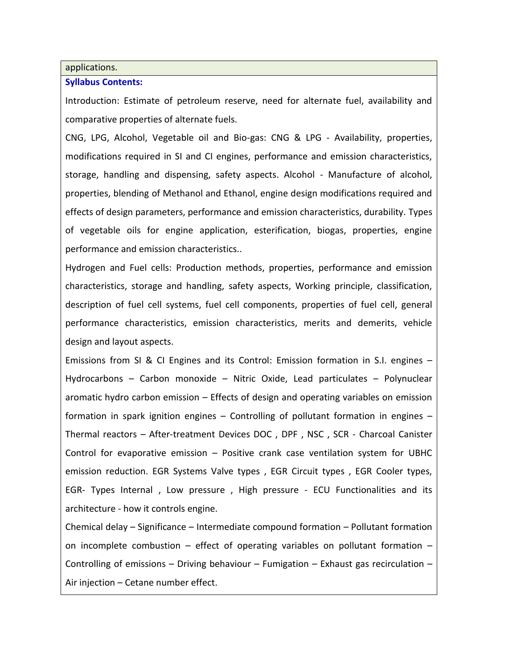#### applications.

#### **Syllabus Contents:**

Introduction: Estimate of petroleum reserve, need for alternate fuel, availability and comparative properties of alternate fuels.

CNG, LPG, Alcohol, Vegetable oil and Bio-gas: CNG & LPG - Availability, properties, modifications required in SI and CI engines, performance and emission characteristics, storage, handling and dispensing, safety aspects. Alcohol - Manufacture of alcohol, properties, blending of Methanol and Ethanol, engine design modifications required and effects of design parameters, performance and emission characteristics, durability. Types of vegetable oils for engine application, esterification, biogas, properties, engine performance and emission characteristics..

Hydrogen and Fuel cells: Production methods, properties, performance and emission characteristics, storage and handling, safety aspects, Working principle, classification, description of fuel cell systems, fuel cell components, properties of fuel cell, general performance characteristics, emission characteristics, merits and demerits, vehicle design and layout aspects.

Emissions from SI & CI Engines and its Control: Emission formation in S.I. engines – Hydrocarbons – Carbon monoxide – Nitric Oxide, Lead particulates – Polynuclear aromatic hydro carbon emission – Effects of design and operating variables on emission formation in spark ignition engines – Controlling of pollutant formation in engines – Thermal reactors – After-treatment Devices DOC , DPF , NSC , SCR - Charcoal Canister Control for evaporative emission – Positive crank case ventilation system for UBHC emission reduction. EGR Systems Valve types , EGR Circuit types , EGR Cooler types, EGR- Types Internal , Low pressure , High pressure - ECU Functionalities and its architecture - how it controls engine.

Chemical delay – Significance – Intermediate compound formation – Pollutant formation on incomplete combustion  $-$  effect of operating variables on pollutant formation  $-$ Controlling of emissions – Driving behaviour – Fumigation – Exhaust gas recirculation – Air injection – Cetane number effect.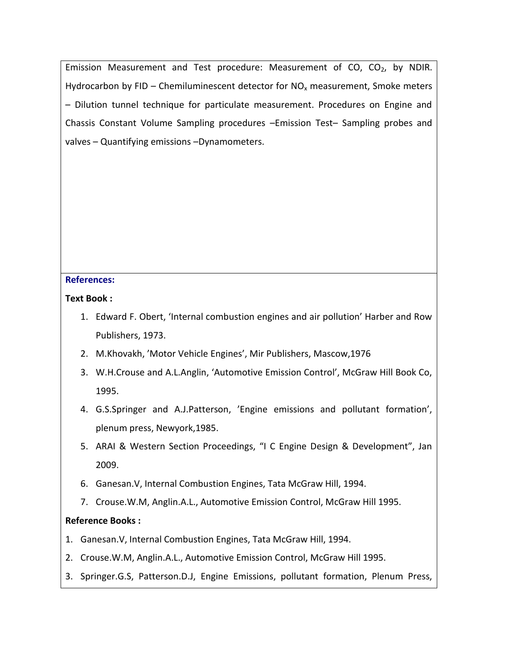Emission Measurement and Test procedure: Measurement of CO,  $CO<sub>2</sub>$ , by NDIR. Hydrocarbon by FID – Chemiluminescent detector for  $NO<sub>x</sub>$  measurement, Smoke meters – Dilution tunnel technique for particulate measurement. Procedures on Engine and Chassis Constant Volume Sampling procedures –Emission Test– Sampling probes and valves – Quantifying emissions –Dynamometers.

## **References:**

## **Text Book :**

- 1. Edward F. Obert, 'Internal combustion engines and air pollution' Harber and Row Publishers, 1973.
- 2. M.Khovakh, 'Motor Vehicle Engines', Mir Publishers, Mascow,1976
- 3. W.H.Crouse and A.L.Anglin, 'Automotive Emission Control', McGraw Hill Book Co, 1995.
- 4. G.S.Springer and A.J.Patterson, 'Engine emissions and pollutant formation', plenum press, Newyork,1985.
- 5. ARAI & Western Section Proceedings, "I C Engine Design & Development", Jan 2009.
- 6. Ganesan.V, Internal Combustion Engines, Tata McGraw Hill, 1994.
- 7. Crouse.W.M, Anglin.A.L., Automotive Emission Control, McGraw Hill 1995.

## **Reference Books :**

- 1. Ganesan.V, Internal Combustion Engines, Tata McGraw Hill, 1994.
- 2. Crouse.W.M, Anglin.A.L., Automotive Emission Control, McGraw Hill 1995.
- 3. Springer.G.S, Patterson.D.J, Engine Emissions, pollutant formation, Plenum Press,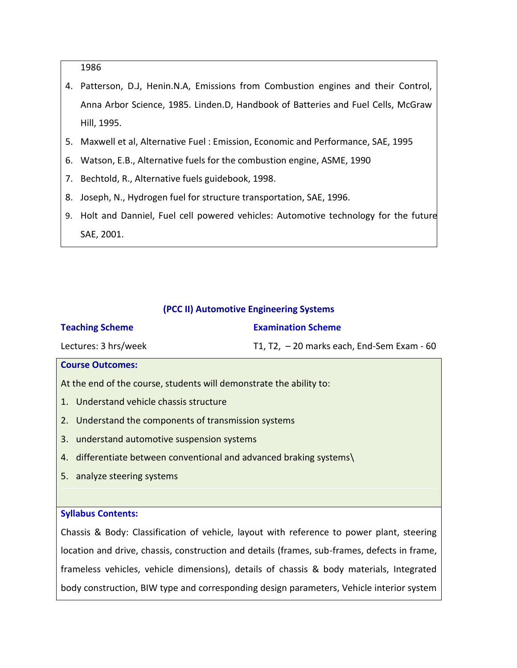1986

- 4. Patterson, D.J, Henin.N.A, Emissions from Combustion engines and their Control, Anna Arbor Science, 1985. Linden.D, Handbook of Batteries and Fuel Cells, McGraw Hill, 1995.
- 5. Maxwell et al, Alternative Fuel : Emission, Economic and Performance, SAE, 1995
- 6. Watson, E.B., Alternative fuels for the combustion engine, ASME, 1990
- 7. Bechtold, R., Alternative fuels guidebook, 1998.
- 8. Joseph, N., Hydrogen fuel for structure transportation, SAE, 1996.
- 9. Holt and Danniel, Fuel cell powered vehicles: Automotive technology for the future SAE, 2001.

#### **(PCC II) Automotive Engineering Systems**

| <b>Teaching Scheme</b>                                              | <b>Examination Scheme</b>                   |  |  |
|---------------------------------------------------------------------|---------------------------------------------|--|--|
| Lectures: 3 hrs/week                                                | T1, T2, $-20$ marks each, End-Sem Exam - 60 |  |  |
| <b>Course Outcomes:</b>                                             |                                             |  |  |
| At the end of the course, students will demonstrate the ability to: |                                             |  |  |
| 1. Understand vehicle chassis structure                             |                                             |  |  |
| 2. Understand the components of transmission systems                |                                             |  |  |
| 3. understand automotive suspension systems                         |                                             |  |  |
| 4. differentiate between conventional and advanced braking systems  |                                             |  |  |
| 5. analyze steering systems                                         |                                             |  |  |
|                                                                     |                                             |  |  |

#### **Syllabus Contents:**

Chassis & Body: Classification of vehicle, layout with reference to power plant, steering location and drive, chassis, construction and details (frames, sub-frames, defects in frame, frameless vehicles, vehicle dimensions), details of chassis & body materials, Integrated body construction, BIW type and corresponding design parameters, Vehicle interior system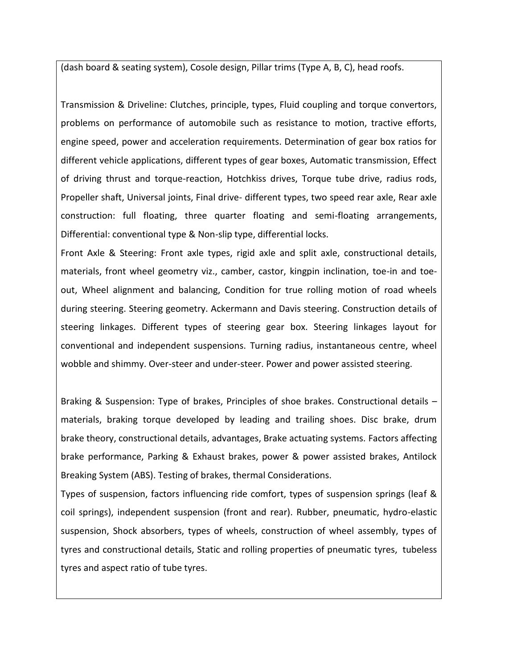(dash board & seating system), Cosole design, Pillar trims (Type A, B, C), head roofs.

Transmission & Driveline: Clutches, principle, types, Fluid coupling and torque convertors, problems on performance of automobile such as resistance to motion, tractive efforts, engine speed, power and acceleration requirements. Determination of gear box ratios for different vehicle applications, different types of gear boxes, Automatic transmission, Effect of driving thrust and torque-reaction, Hotchkiss drives, Torque tube drive, radius rods, Propeller shaft, Universal joints, Final drive- different types, two speed rear axle, Rear axle construction: full floating, three quarter floating and semi-floating arrangements, Differential: conventional type & Non-slip type, differential locks.

Front Axle & Steering: Front axle types, rigid axle and split axle, constructional details, materials, front wheel geometry viz., camber, castor, kingpin inclination, toe-in and toeout, Wheel alignment and balancing, Condition for true rolling motion of road wheels during steering. Steering geometry. Ackermann and Davis steering. Construction details of steering linkages. Different types of steering gear box. Steering linkages layout for conventional and independent suspensions. Turning radius, instantaneous centre, wheel wobble and shimmy. Over-steer and under-steer. Power and power assisted steering.

Braking & Suspension: Type of brakes, Principles of shoe brakes. Constructional details – materials, braking torque developed by leading and trailing shoes. Disc brake, drum brake theory, constructional details, advantages, Brake actuating systems. Factors affecting brake performance, Parking & Exhaust brakes, power & power assisted brakes, Antilock Breaking System (ABS). Testing of brakes, thermal Considerations.

Types of suspension, factors influencing ride comfort, types of suspension springs (leaf & coil springs), independent suspension (front and rear). Rubber, pneumatic, hydro-elastic suspension, Shock absorbers, types of wheels, construction of wheel assembly, types of tyres and constructional details, Static and rolling properties of pneumatic tyres, tubeless tyres and aspect ratio of tube tyres.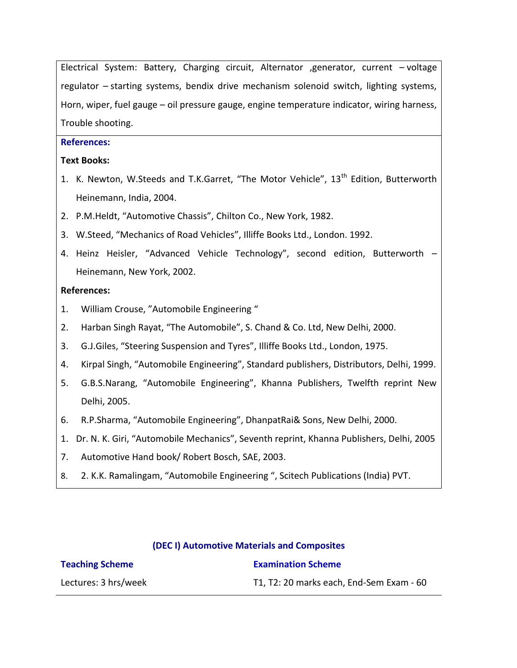Electrical System: Battery, Charging circuit, Alternator ,generator, current – voltage regulator – starting systems, bendix drive mechanism solenoid switch, lighting systems, Horn, wiper, fuel gauge – oil pressure gauge, engine temperature indicator, wiring harness, Trouble shooting.

## **References:**

## **Text Books:**

- 1. K. Newton, W.Steeds and T.K.Garret, "The Motor Vehicle", 13<sup>th</sup> Edition, Butterworth Heinemann, India, 2004.
- 2. P.M.Heldt, "Automotive Chassis", Chilton Co., New York, 1982.
- 3. W.Steed, "Mechanics of Road Vehicles", Illiffe Books Ltd., London. 1992.
- 4. Heinz Heisler, "Advanced Vehicle Technology", second edition, Butterworth Heinemann, New York, 2002.

## **References:**

- 1. William Crouse, "Automobile Engineering "
- 2. Harban Singh Rayat, "The Automobile", S. Chand & Co. Ltd, New Delhi, 2000.
- 3. G.J.Giles, "Steering Suspension and Tyres", Illiffe Books Ltd., London, 1975.
- 4. Kirpal Singh, "Automobile Engineering", Standard publishers, Distributors, Delhi, 1999.
- 5. G.B.S.Narang, "Automobile Engineering", Khanna Publishers, Twelfth reprint New Delhi, 2005.
- 6. R.P.Sharma, "Automobile Engineering", DhanpatRai& Sons, New Delhi, 2000.
- 1. Dr. N. K. Giri, "Automobile Mechanics", Seventh reprint, Khanna Publishers, Delhi, 2005
- 7. Automotive Hand book/ Robert Bosch, SAE, 2003.
- 8. 2. K.K. Ramalingam, "Automobile Engineering ", Scitech Publications (India) PVT.

#### **(DEC I) Automotive Materials and Composites**

| <b>Teaching Scheme</b> | <b>Examination Scheme</b>                |
|------------------------|------------------------------------------|
| Lectures: 3 hrs/week   | T1, T2: 20 marks each, End-Sem Exam - 60 |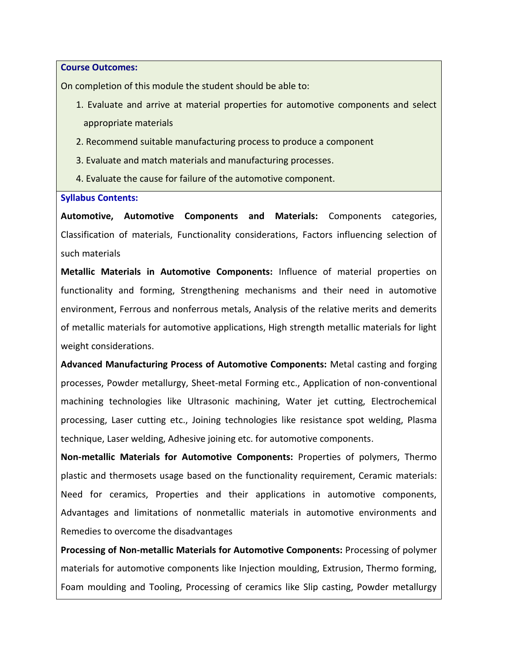**Course Outcomes:**

On completion of this module the student should be able to:

- 1. Evaluate and arrive at material properties for automotive components and select appropriate materials
- 2. Recommend suitable manufacturing process to produce a component
- 3. Evaluate and match materials and manufacturing processes.
- 4. Evaluate the cause for failure of the automotive component.

#### **Syllabus Contents:**

**Automotive, Automotive Components and Materials:** Components categories, Classification of materials, Functionality considerations, Factors influencing selection of such materials

**Metallic Materials in Automotive Components:** Influence of material properties on functionality and forming, Strengthening mechanisms and their need in automotive environment, Ferrous and nonferrous metals, Analysis of the relative merits and demerits of metallic materials for automotive applications, High strength metallic materials for light weight considerations.

**Advanced Manufacturing Process of Automotive Components:** Metal casting and forging processes, Powder metallurgy, Sheet-metal Forming etc., Application of non-conventional machining technologies like Ultrasonic machining, Water jet cutting, Electrochemical processing, Laser cutting etc., Joining technologies like resistance spot welding, Plasma technique, Laser welding, Adhesive joining etc. for automotive components.

**Non-metallic Materials for Automotive Components:** Properties of polymers, Thermo plastic and thermosets usage based on the functionality requirement, Ceramic materials: Need for ceramics, Properties and their applications in automotive components, Advantages and limitations of nonmetallic materials in automotive environments and Remedies to overcome the disadvantages

**Processing of Non-metallic Materials for Automotive Components:** Processing of polymer materials for automotive components like Injection moulding, Extrusion, Thermo forming, Foam moulding and Tooling, Processing of ceramics like Slip casting, Powder metallurgy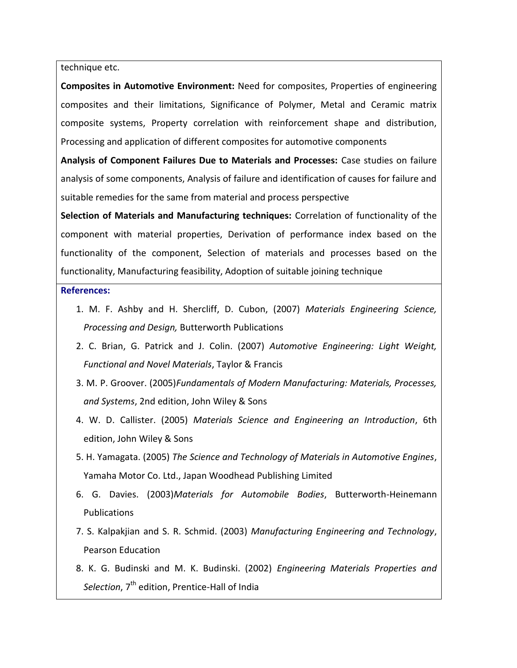#### technique etc.

**Composites in Automotive Environment:** Need for composites, Properties of engineering composites and their limitations, Significance of Polymer, Metal and Ceramic matrix composite systems, Property correlation with reinforcement shape and distribution, Processing and application of different composites for automotive components

**Analysis of Component Failures Due to Materials and Processes:** Case studies on failure analysis of some components, Analysis of failure and identification of causes for failure and suitable remedies for the same from material and process perspective

**Selection of Materials and Manufacturing techniques:** Correlation of functionality of the component with material properties, Derivation of performance index based on the functionality of the component, Selection of materials and processes based on the functionality, Manufacturing feasibility, Adoption of suitable joining technique

#### **References:**

- 1. M. F. Ashby and H. Shercliff, D. Cubon, (2007) *Materials Engineering Science, Processing and Design,* Butterworth Publications
- 2. C. Brian, G. Patrick and J. Colin. (2007) *Automotive Engineering: Light Weight, Functional and Novel Materials*, Taylor & Francis
- 3. M. P. Groover. (2005)*Fundamentals of Modern Manufacturing: Materials, Processes, and Systems*, 2nd edition, John Wiley & Sons
- 4. W. D. Callister. (2005) *Materials Science and Engineering an Introduction*, 6th edition, John Wiley & Sons
- 5. H. Yamagata. (2005) *The Science and Technology of Materials in Automotive Engines*, Yamaha Motor Co. Ltd., Japan Woodhead Publishing Limited
- 6. G. Davies. (2003)*Materials for Automobile Bodies*, Butterworth-Heinemann Publications
- 7. S. Kalpakjian and S. R. Schmid. (2003) *Manufacturing Engineering and Technology*, Pearson Education
- 8. K. G. Budinski and M. K. Budinski. (2002) *Engineering Materials Properties and*  Selection, 7<sup>th</sup> edition, Prentice-Hall of India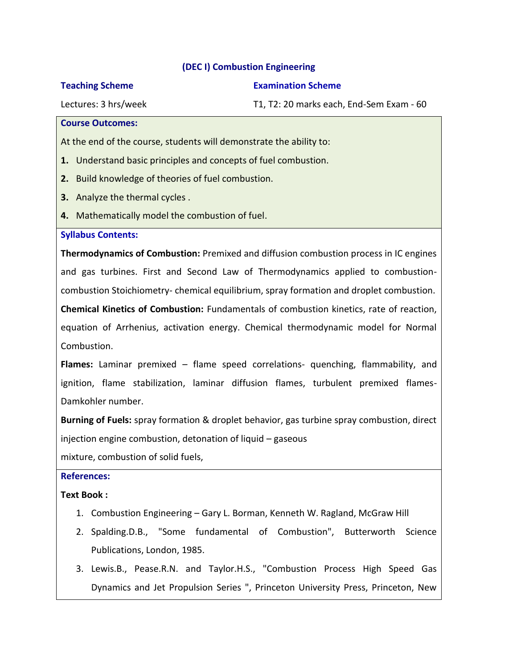## **(DEC I) Combustion Engineering**

#### **Teaching Scheme**

#### **Examination Scheme**

Lectures: 3 hrs/week

T1, T2: 20 marks each, End-Sem Exam - 60

#### **Course Outcomes:**

At the end of the course, students will demonstrate the ability to:

- **1.** Understand basic principles and concepts of fuel combustion.
- **2.** Build knowledge of theories of fuel combustion.
- **3.** Analyze the thermal cycles .
- **4.** Mathematically model the combustion of fuel.

## **Syllabus Contents:**

**Thermodynamics of Combustion:** Premixed and diffusion combustion process in IC engines and gas turbines. First and Second Law of Thermodynamics applied to combustioncombustion Stoichiometry- chemical equilibrium, spray formation and droplet combustion.

**Chemical Kinetics of Combustion:** Fundamentals of combustion kinetics, rate of reaction, equation of Arrhenius, activation energy. Chemical thermodynamic model for Normal Combustion.

**Flames:** Laminar premixed – flame speed correlations- quenching, flammability, and ignition, flame stabilization, laminar diffusion flames, turbulent premixed flames-Damkohler number.

**Burning of Fuels:** spray formation & droplet behavior, gas turbine spray combustion, direct injection engine combustion, detonation of liquid – gaseous

mixture, combustion of solid fuels,

## **References:**

## **Text Book :**

- 1. Combustion Engineering Gary L. Borman, Kenneth W. Ragland, McGraw Hill
- 2. Spalding.D.B., "Some fundamental of Combustion", Butterworth Science Publications, London, 1985.
- 3. Lewis.B., Pease.R.N. and Taylor.H.S., "Combustion Process High Speed Gas Dynamics and Jet Propulsion Series ", Princeton University Press, Princeton, New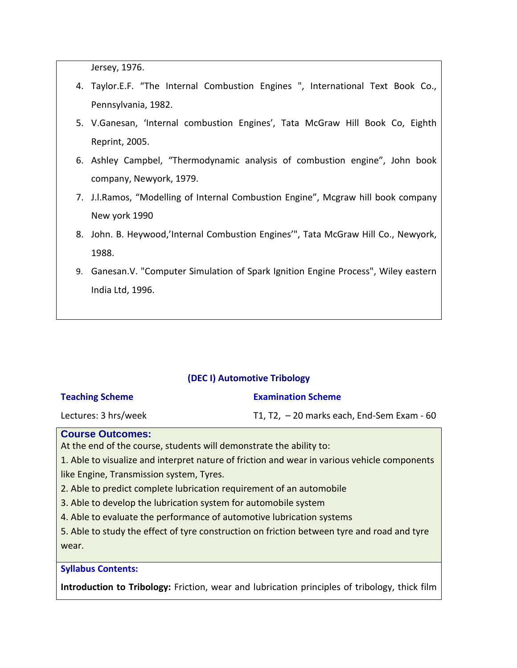Jersey, 1976.

- 4. Taylor.E.F. "The Internal Combustion Engines ", International Text Book Co., Pennsylvania, 1982.
- 5. V.Ganesan, 'Internal combustion Engines', Tata McGraw Hill Book Co, Eighth Reprint, 2005.
- 6. Ashley Campbel, "Thermodynamic analysis of combustion engine", John book company, Newyork, 1979.
- 7. J.l.Ramos, "Modelling of Internal Combustion Engine", Mcgraw hill book company New york 1990
- 8. John. B. Heywood,'Internal Combustion Engines'", Tata McGraw Hill Co., Newyork, 1988.
- 9. Ganesan.V. "Computer Simulation of Spark Ignition Engine Process", Wiley eastern India Ltd, 1996.

## **(DEC I) Automotive Tribology**

| <b>Teaching Scheme</b> |
|------------------------|
|------------------------|

#### **Examination Scheme**

Lectures: 3 hrs/week

T1, T2, – 20 marks each, End-Sem Exam - 60

#### **Course Outcomes:**

At the end of the course, students will demonstrate the ability to:

1. Able to visualize and interpret nature of friction and wear in various vehicle components like Engine, Transmission system, Tyres.

2. Able to predict complete lubrication requirement of an automobile

3. Able to develop the lubrication system for automobile system

4. Able to evaluate the performance of automotive lubrication systems

5. Able to study the effect of tyre construction on friction between tyre and road and tyre wear.

#### **Syllabus Contents:**

**Introduction to Tribology:** Friction, wear and lubrication principles of tribology, thick film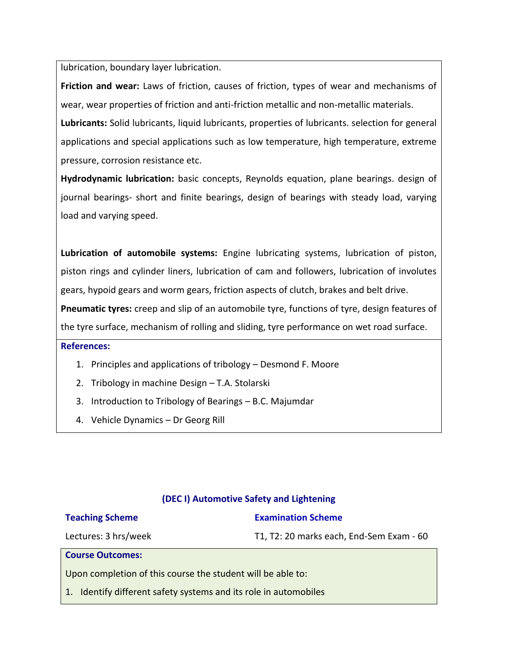lubrication, boundary layer lubrication.

**Friction and wear:** Laws of friction, causes of friction, types of wear and mechanisms of wear, wear properties of friction and anti-friction metallic and non-metallic materials.

**Lubricants:** Solid lubricants, liquid lubricants, properties of lubricants. selection for general applications and special applications such as low temperature, high temperature, extreme pressure, corrosion resistance etc.

**Hydrodynamic lubrication:** basic concepts, Reynolds equation, plane bearings. design of journal bearings- short and finite bearings, design of bearings with steady load, varying load and varying speed.

**Lubrication of automobile systems:** Engine lubricating systems, lubrication of piston, piston rings and cylinder liners, lubrication of cam and followers, lubrication of involutes gears, hypoid gears and worm gears, friction aspects of clutch, brakes and belt drive.

**Pneumatic tyres:** creep and slip of an automobile tyre, functions of tyre, design features of the tyre surface, mechanism of rolling and sliding, tyre performance on wet road surface.

## **References:**

- 1. Principles and applications of tribology Desmond F. Moore
- 2. Tribology in machine Design T.A. Stolarski
- 3. Introduction to Tribology of Bearings B.C. Majumdar
- 4. Vehicle Dynamics Dr Georg Rill

## **(DEC I) Automotive Safety and Lightening**

## **Teaching Scheme**

## **Examination Scheme**

Lectures: 3 hrs/week

T1, T2: 20 marks each, End-Sem Exam - 60

**Course Outcomes:**

Upon completion of this course the student will be able to:

1. Identify different safety systems and its role in automobiles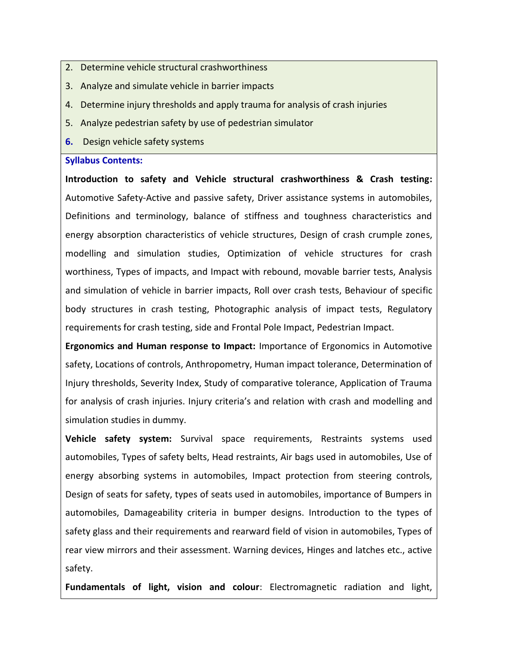- 2. Determine vehicle structural crashworthiness
- 3. Analyze and simulate vehicle in barrier impacts
- 4. Determine injury thresholds and apply trauma for analysis of crash injuries
- 5. Analyze pedestrian safety by use of pedestrian simulator
- **6.** Design vehicle safety systems

#### **Syllabus Contents:**

**Introduction to safety and Vehicle structural crashworthiness & Crash testing:**  Automotive Safety-Active and passive safety, Driver assistance systems in automobiles, Definitions and terminology, balance of stiffness and toughness characteristics and energy absorption characteristics of vehicle structures, Design of crash crumple zones, modelling and simulation studies, Optimization of vehicle structures for crash worthiness, Types of impacts, and Impact with rebound, movable barrier tests, Analysis and simulation of vehicle in barrier impacts, Roll over crash tests, Behaviour of specific body structures in crash testing, Photographic analysis of impact tests, Regulatory requirements for crash testing, side and Frontal Pole Impact, Pedestrian Impact.

**Ergonomics and Human response to Impact:** Importance of Ergonomics in Automotive safety, Locations of controls, Anthropometry, Human impact tolerance, Determination of Injury thresholds, Severity Index, Study of comparative tolerance, Application of Trauma for analysis of crash injuries. Injury criteria's and relation with crash and modelling and simulation studies in dummy.

**Vehicle safety system:** Survival space requirements, Restraints systems used automobiles, Types of safety belts, Head restraints, Air bags used in automobiles, Use of energy absorbing systems in automobiles, Impact protection from steering controls, Design of seats for safety, types of seats used in automobiles, importance of Bumpers in automobiles, Damageability criteria in bumper designs. Introduction to the types of safety glass and their requirements and rearward field of vision in automobiles, Types of rear view mirrors and their assessment. Warning devices, Hinges and latches etc., active safety.

**Fundamentals of light, vision and colour**: Electromagnetic radiation and light,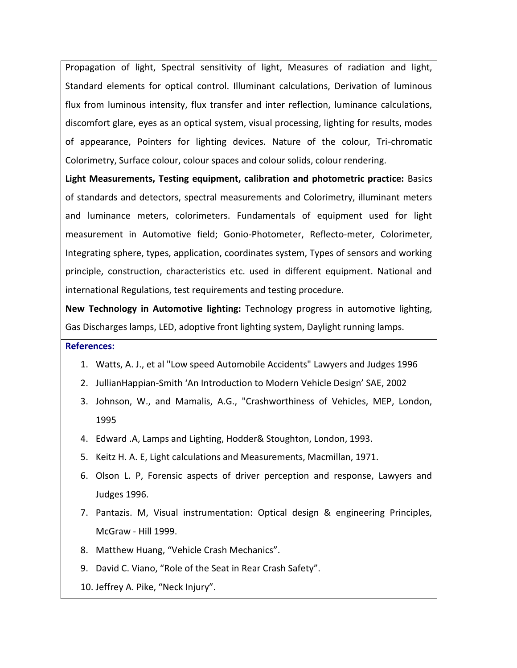Propagation of light, Spectral sensitivity of light, Measures of radiation and light, Standard elements for optical control. Illuminant calculations, Derivation of luminous flux from luminous intensity, flux transfer and inter reflection, luminance calculations, discomfort glare, eyes as an optical system, visual processing, lighting for results, modes of appearance, Pointers for lighting devices. Nature of the colour, Tri-chromatic Colorimetry, Surface colour, colour spaces and colour solids, colour rendering.

**Light Measurements, Testing equipment, calibration and photometric practice:** Basics of standards and detectors, spectral measurements and Colorimetry, illuminant meters and luminance meters, colorimeters. Fundamentals of equipment used for light measurement in Automotive field; Gonio-Photometer, Reflecto-meter, Colorimeter, Integrating sphere, types, application, coordinates system, Types of sensors and working principle, construction, characteristics etc. used in different equipment. National and international Regulations, test requirements and testing procedure.

**New Technology in Automotive lighting:** Technology progress in automotive lighting, Gas Discharges lamps, LED, adoptive front lighting system, Daylight running lamps.

#### **References:**

- 1. Watts, A. J., et al "Low speed Automobile Accidents" Lawyers and Judges 1996
- 2. JullianHappian-Smith 'An Introduction to Modern Vehicle Design' SAE, 2002
- 3. Johnson, W., and Mamalis, A.G., "Crashworthiness of Vehicles, MEP, London, 1995
- 4. Edward .A, Lamps and Lighting, Hodder& Stoughton, London, 1993.
- 5. Keitz H. A. E, Light calculations and Measurements, Macmillan, 1971.
- 6. Olson L. P, Forensic aspects of driver perception and response, Lawyers and Judges 1996.
- 7. Pantazis. M, Visual instrumentation: Optical design & engineering Principles, McGraw - Hill 1999.
- 8. Matthew Huang, "Vehicle Crash Mechanics".
- 9. David C. Viano, "Role of the Seat in Rear Crash Safety".
- 10. Jeffrey A. Pike, "Neck Injury".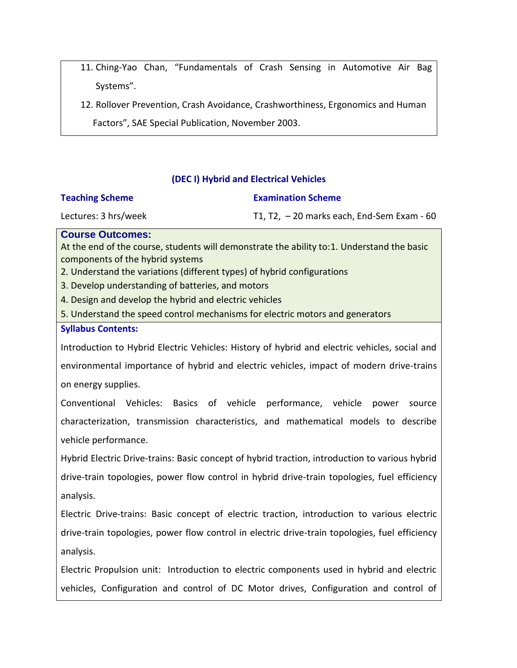11. Ching-Yao Chan, "Fundamentals of Crash Sensing in Automotive Air Bag Systems".

12. Rollover Prevention, Crash Avoidance, Crashworthiness, Ergonomics and Human Factors", SAE Special Publication, November 2003.

## **(DEC I) Hybrid and Electrical Vehicles**

## **Teaching Scheme**

## **Examination Scheme**

Lectures: 3 hrs/week

T1, T2, – 20 marks each, End-Sem Exam - 60

**Course Outcomes:**

At the end of the course, students will demonstrate the ability to:1. Understand the basic components of the hybrid systems

2. Understand the variations (different types) of hybrid configurations

3. Develop understanding of batteries, and motors

4. Design and develop the hybrid and electric vehicles

5. Understand the speed control mechanisms for electric motors and generators

## **Syllabus Contents:**

Introduction to Hybrid Electric Vehicles: History of hybrid and electric vehicles, social and environmental importance of hybrid and electric vehicles, impact of modern drive-trains on energy supplies.

Conventional Vehicles: Basics of vehicle performance, vehicle power source characterization, transmission characteristics, and mathematical models to describe vehicle performance.

Hybrid Electric Drive-trains: Basic concept of hybrid traction, introduction to various hybrid drive-train topologies, power flow control in hybrid drive-train topologies, fuel efficiency analysis.

Electric Drive-trains: Basic concept of electric traction, introduction to various electric drive-train topologies, power flow control in electric drive-train topologies, fuel efficiency analysis.

Electric Propulsion unit: Introduction to electric components used in hybrid and electric vehicles, Configuration and control of DC Motor drives, Configuration and control of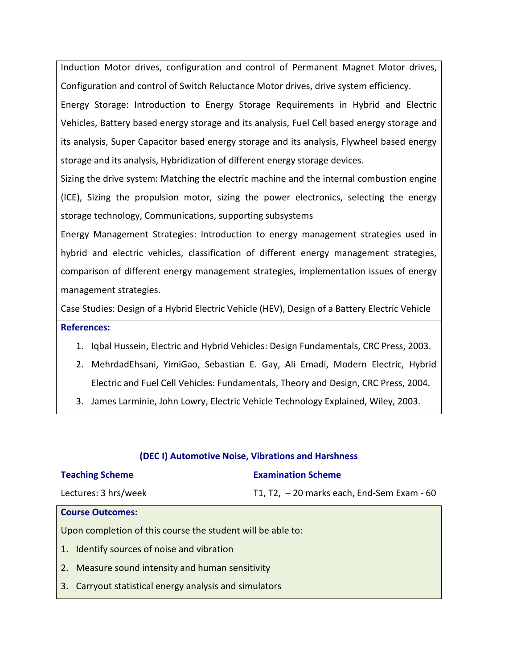Induction Motor drives, configuration and control of Permanent Magnet Motor drives, Configuration and control of Switch Reluctance Motor drives, drive system efficiency.

Energy Storage: Introduction to Energy Storage Requirements in Hybrid and Electric Vehicles, Battery based energy storage and its analysis, Fuel Cell based energy storage and its analysis, Super Capacitor based energy storage and its analysis, Flywheel based energy storage and its analysis, Hybridization of different energy storage devices.

Sizing the drive system: Matching the electric machine and the internal combustion engine (ICE), Sizing the propulsion motor, sizing the power electronics, selecting the energy storage technology, Communications, supporting subsystems

Energy Management Strategies: Introduction to energy management strategies used in hybrid and electric vehicles, classification of different energy management strategies, comparison of different energy management strategies, implementation issues of energy management strategies.

Case Studies: Design of a Hybrid Electric Vehicle (HEV), Design of a Battery Electric Vehicle **References:**

- 1. Iqbal Hussein, Electric and Hybrid Vehicles: Design Fundamentals, CRC Press, 2003.
- 2. MehrdadEhsani, YimiGao, Sebastian E. Gay, Ali Emadi, Modern Electric, Hybrid Electric and Fuel Cell Vehicles: Fundamentals, Theory and Design, CRC Press, 2004.
- 3. James Larminie, John Lowry, Electric Vehicle Technology Explained, Wiley, 2003.

| <b>Teaching Scheme</b>                                      | <b>Examination Scheme</b>                   |  |  |
|-------------------------------------------------------------|---------------------------------------------|--|--|
| Lectures: 3 hrs/week                                        | T1, T2, $-20$ marks each, End-Sem Exam - 60 |  |  |
| <b>Course Outcomes:</b>                                     |                                             |  |  |
| Upon completion of this course the student will be able to: |                                             |  |  |
| Identify sources of noise and vibration<br>1.               |                                             |  |  |
| 2.<br>Measure sound intensity and human sensitivity         |                                             |  |  |
| Carryout statistical energy analysis and simulators<br>3.   |                                             |  |  |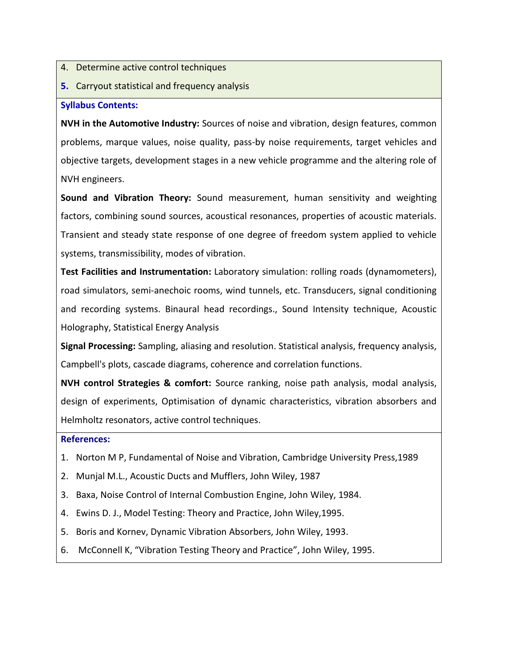- 4. Determine active control techniques
- **5.** Carryout statistical and frequency analysis

## **Syllabus Contents:**

**NVH in the Automotive Industry:** Sources of noise and vibration, design features, common problems, marque values, noise quality, pass-by noise requirements, target vehicles and objective targets, development stages in a new vehicle programme and the altering role of NVH engineers.

**Sound and Vibration Theory:** Sound measurement, human sensitivity and weighting factors, combining sound sources, acoustical resonances, properties of acoustic materials. Transient and steady state response of one degree of freedom system applied to vehicle systems, transmissibility, modes of vibration.

**Test Facilities and Instrumentation:** Laboratory simulation: rolling roads (dynamometers), road simulators, semi-anechoic rooms, wind tunnels, etc. Transducers, signal conditioning and recording systems. Binaural head recordings., Sound Intensity technique, Acoustic Holography, Statistical Energy Analysis

**Signal Processing:** Sampling, aliasing and resolution. Statistical analysis, frequency analysis, Campbell's plots, cascade diagrams, coherence and correlation functions.

**NVH control Strategies & comfort:** Source ranking, noise path analysis, modal analysis, design of experiments, Optimisation of dynamic characteristics, vibration absorbers and Helmholtz resonators, active control techniques.

## **References:**

- 1. Norton M P, Fundamental of Noise and Vibration, Cambridge University Press,1989
- 2. Munjal M.L., Acoustic Ducts and Mufflers, John Wiley, 1987
- 3. Baxa, Noise Control of Internal Combustion Engine, John Wiley, 1984.
- 4. Ewins D. J., Model Testing: Theory and Practice, John Wiley,1995.
- 5. Boris and Kornev, Dynamic Vibration Absorbers, John Wiley, 1993.
- 6. McConnell K, "Vibration Testing Theory and Practice", John Wiley, 1995.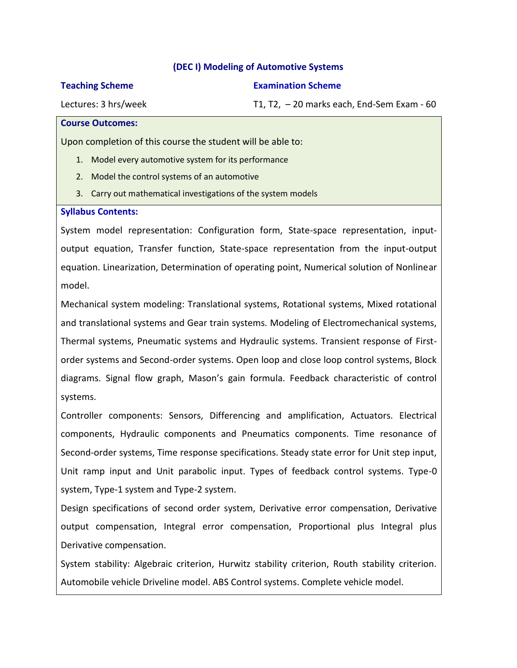## **(DEC I) Modeling of Automotive Systems**

#### **Teaching Scheme**

**Examination Scheme**

T1, T2, – 20 marks each, End-Sem Exam - 60

Lectures: 3 hrs/week

#### **Course Outcomes:**

Upon completion of this course the student will be able to:

- 1. Model every automotive system for its performance
- 2. Model the control systems of an automotive
- 3. Carry out mathematical investigations of the system models

## **Syllabus Contents:**

System model representation: Configuration form, State-space representation, inputoutput equation, Transfer function, State-space representation from the input-output equation. Linearization, Determination of operating point, Numerical solution of Nonlinear model.

Mechanical system modeling: Translational systems, Rotational systems, Mixed rotational and translational systems and Gear train systems. Modeling of Electromechanical systems, Thermal systems, Pneumatic systems and Hydraulic systems. Transient response of Firstorder systems and Second-order systems. Open loop and close loop control systems, Block diagrams. Signal flow graph, Mason's gain formula. Feedback characteristic of control systems.

Controller components: Sensors, Differencing and amplification, Actuators. Electrical components, Hydraulic components and Pneumatics components. Time resonance of Second-order systems, Time response specifications. Steady state error for Unit step input, Unit ramp input and Unit parabolic input. Types of feedback control systems. Type-0 system, Type-1 system and Type-2 system.

Design specifications of second order system, Derivative error compensation, Derivative output compensation, Integral error compensation, Proportional plus Integral plus Derivative compensation.

System stability: Algebraic criterion, Hurwitz stability criterion, Routh stability criterion. Automobile vehicle Driveline model. ABS Control systems. Complete vehicle model.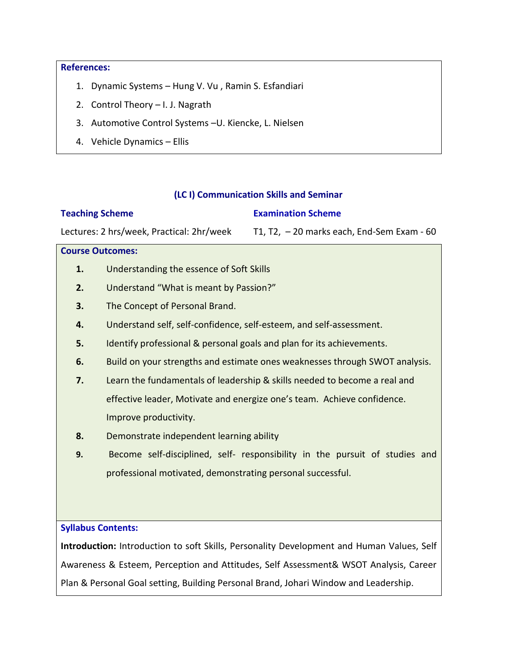#### **References:**

- 1. Dynamic Systems Hung V. Vu , Ramin S. Esfandiari
- 2. Control Theory I. J. Nagrath
- 3. Automotive Control Systems –U. Kiencke, L. Nielsen
- 4. Vehicle Dynamics Ellis

#### **(LC I) Communication Skills and Seminar**

#### **Examination Scheme**

Lectures: 2 hrs/week, Practical: 2hr/week T1, T2, – 20 marks each, End-Sem Exam - 60

## **Course Outcomes:**

**Teaching Scheme**

- **1.** Understanding the essence of Soft Skills
- **2.** Understand "What is meant by Passion?"
- **3.** The Concept of Personal Brand.
- **4.** Understand self, self-confidence, self-esteem, and self-assessment.
- **5.** Identify professional & personal goals and plan for its achievements.
- **6.** Build on your strengths and estimate ones weaknesses through SWOT analysis.
- **7.** Learn the fundamentals of leadership & skills needed to become a real and effective leader, Motivate and energize one's team. Achieve confidence. Improve productivity.
- **8.** Demonstrate independent learning ability
- **9.** Become self-disciplined, self- responsibility in the pursuit of studies and professional motivated, demonstrating personal successful.

#### **Syllabus Contents:**

**Introduction:** Introduction to soft Skills, Personality Development and Human Values, Self Awareness & Esteem, Perception and Attitudes, Self Assessment& WSOT Analysis, Career Plan & Personal Goal setting, Building Personal Brand, Johari Window and Leadership.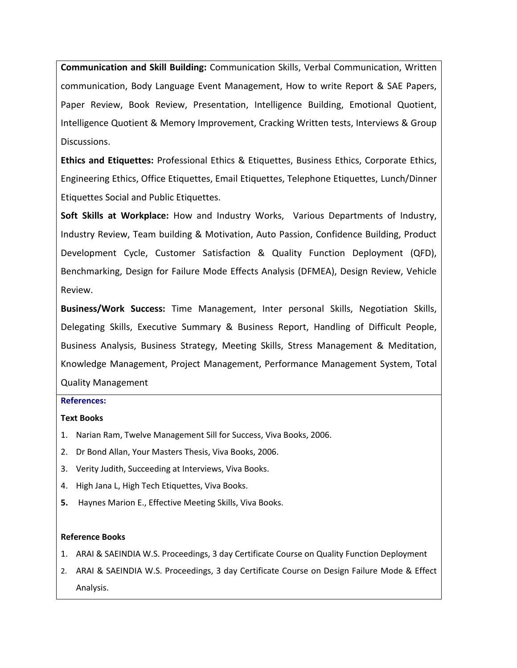**Communication and Skill Building:** Communication Skills, Verbal Communication, Written communication, Body Language Event Management, How to write Report & SAE Papers, Paper Review, Book Review, Presentation, Intelligence Building, Emotional Quotient, Intelligence Quotient & Memory Improvement, Cracking Written tests, Interviews & Group Discussions.

**Ethics and Etiquettes:** Professional Ethics & Etiquettes, Business Ethics, Corporate Ethics, Engineering Ethics, Office Etiquettes, Email Etiquettes, Telephone Etiquettes, Lunch/Dinner Etiquettes Social and Public Etiquettes.

**Soft Skills at Workplace:** How and Industry Works, Various Departments of Industry, Industry Review, Team building & Motivation, Auto Passion, Confidence Building, Product Development Cycle, Customer Satisfaction & Quality Function Deployment (QFD), Benchmarking, Design for Failure Mode Effects Analysis (DFMEA), Design Review, Vehicle Review.

**Business/Work Success:** Time Management, Inter personal Skills, Negotiation Skills, Delegating Skills, Executive Summary & Business Report, Handling of Difficult People, Business Analysis, Business Strategy, Meeting Skills, Stress Management & Meditation, Knowledge Management, Project Management, Performance Management System, Total Quality Management

#### **References:**

#### **Text Books**

- 1. Narian Ram, Twelve Management Sill for Success, Viva Books, 2006.
- 2. Dr Bond Allan, Your Masters Thesis, Viva Books, 2006.
- 3. Verity Judith, Succeeding at Interviews, Viva Books.
- 4. High Jana L, High Tech Etiquettes, Viva Books.
- **5.** Haynes Marion E., Effective Meeting Skills, Viva Books.

#### **Reference Books**

- 1. ARAI & SAEINDIA W.S. Proceedings, 3 day Certificate Course on Quality Function Deployment
- 2. ARAI & SAEINDIA W.S. Proceedings, 3 day Certificate Course on Design Failure Mode & Effect Analysis.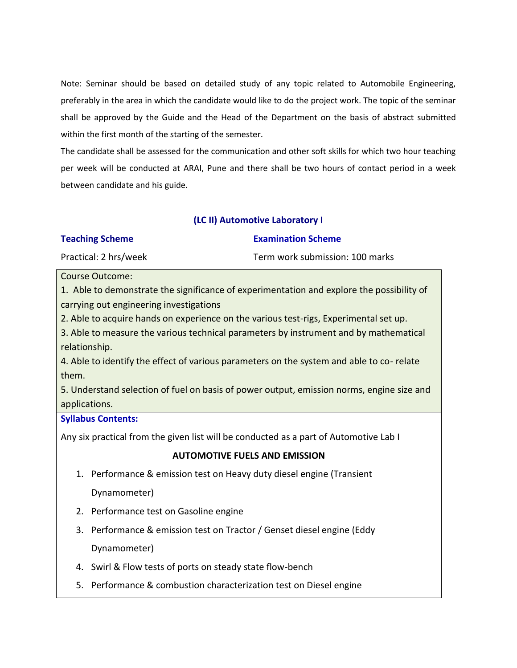Note: Seminar should be based on detailed study of any topic related to Automobile Engineering, preferably in the area in which the candidate would like to do the project work. The topic of the seminar shall be approved by the Guide and the Head of the Department on the basis of abstract submitted within the first month of the starting of the semester.

The candidate shall be assessed for the communication and other soft skills for which two hour teaching per week will be conducted at ARAI, Pune and there shall be two hours of contact period in a week between candidate and his guide.

## **(LC II) Automotive Laboratory I**

| <b>Teaching Scheme</b> | <b>Examination Scheme</b>       |
|------------------------|---------------------------------|
| Practical: 2 hrs/week  | Term work submission: 100 marks |

#### Course Outcome:

1. Able to demonstrate the significance of experimentation and explore the possibility of carrying out engineering investigations

2. Able to acquire hands on experience on the various test-rigs, Experimental set up.

3. Able to measure the various technical parameters by instrument and by mathematical relationship.

4. Able to identify the effect of various parameters on the system and able to co- relate them.

5. Understand selection of fuel on basis of power output, emission norms, engine size and applications.

## **Syllabus Contents:**

Any six practical from the given list will be conducted as a part of Automotive Lab I

## **AUTOMOTIVE FUELS AND EMISSION**

1. Performance & emission test on Heavy duty diesel engine (Transient

Dynamometer)

- 2. Performance test on Gasoline engine
- 3. Performance & emission test on Tractor / Genset diesel engine (Eddy Dynamometer)
- 4. Swirl & Flow tests of ports on steady state flow-bench
- 5. Performance & combustion characterization test on Diesel engine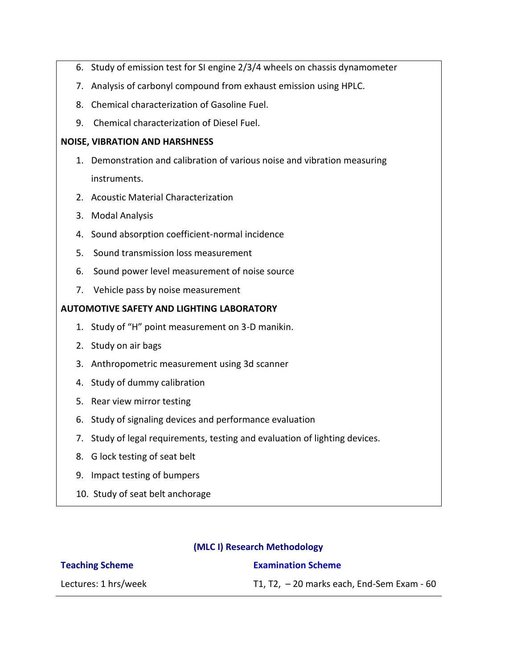- 6. Study of emission test for SI engine 2/3/4 wheels on chassis dynamometer
- 7. Analysis of carbonyl compound from exhaust emission using HPLC.
- 8. Chemical characterization of Gasoline Fuel.
- 9. Chemical characterization of Diesel Fuel.

## **NOISE, VIBRATION AND HARSHNESS**

- 1. Demonstration and calibration of various noise and vibration measuring instruments.
- 2. Acoustic Material Characterization
- 3. Modal Analysis
- 4. Sound absorption coefficient-normal incidence
- 5. Sound transmission loss measurement
- 6. Sound power level measurement of noise source
- 7. Vehicle pass by noise measurement

## **AUTOMOTIVE SAFETY AND LIGHTING LABORATORY**

- 1. Study of "H" point measurement on 3-D manikin.
- 2. Study on air bags
- 3. Anthropometric measurement using 3d scanner
- 4. Study of dummy calibration
- 5. Rear view mirror testing
- 6. Study of signaling devices and performance evaluation
- 7. Study of legal requirements, testing and evaluation of lighting devices.
- 8. G lock testing of seat belt
- 9. Impact testing of bumpers
- 10. Study of seat belt anchorage

## **(MLC I) Research Methodology**

| <b>Teaching Scheme</b> | <b>Examination Scheme</b>                   |
|------------------------|---------------------------------------------|
| Lectures: 1 hrs/week   | T1, T2, $-20$ marks each, End-Sem Exam - 60 |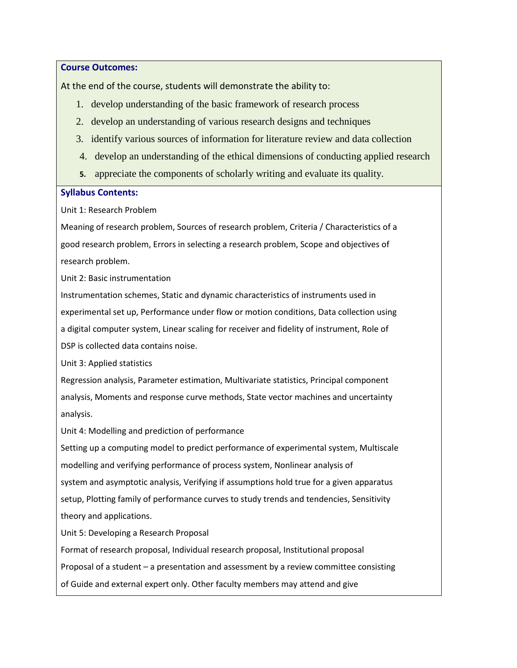**Course Outcomes:**

At the end of the course, students will demonstrate the ability to:

- 1. develop understanding of the basic framework of research process
- 2. develop an understanding of various research designs and techniques
- 3. identify various sources of information for literature review and data collection
- 4. develop an understanding of the ethical dimensions of conducting applied research
- **5.** appreciate the components of scholarly writing and evaluate its quality.

## **Syllabus Contents:**

Unit 1: Research Problem

Meaning of research problem, Sources of research problem, Criteria / Characteristics of a good research problem, Errors in selecting a research problem, Scope and objectives of research problem.

Unit 2: Basic instrumentation

Instrumentation schemes, Static and dynamic characteristics of instruments used in experimental set up, Performance under flow or motion conditions, Data collection using a digital computer system, Linear scaling for receiver and fidelity of instrument, Role of DSP is collected data contains noise.

Unit 3: Applied statistics

Regression analysis, Parameter estimation, Multivariate statistics, Principal component analysis, Moments and response curve methods, State vector machines and uncertainty analysis.

Unit 4: Modelling and prediction of performance

Setting up a computing model to predict performance of experimental system, Multiscale modelling and verifying performance of process system, Nonlinear analysis of system and asymptotic analysis, Verifying if assumptions hold true for a given apparatus setup, Plotting family of performance curves to study trends and tendencies, Sensitivity theory and applications.

Unit 5: Developing a Research Proposal

Format of research proposal, Individual research proposal, Institutional proposal Proposal of a student – a presentation and assessment by a review committee consisting of Guide and external expert only. Other faculty members may attend and give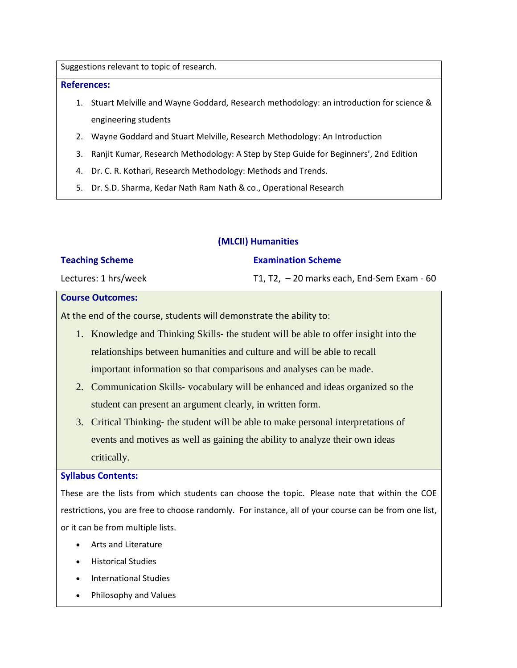Suggestions relevant to topic of research.

#### **References:**

- 1. Stuart Melville and Wayne Goddard, Research methodology: an introduction for science & engineering students
- 2. Wayne Goddard and Stuart Melville, Research Methodology: An Introduction
- 3. Ranjit Kumar, Research Methodology: A Step by Step Guide for Beginners', 2nd Edition
- 4. Dr. C. R. Kothari, Research Methodology: Methods and Trends.
- 5. Dr. S.D. Sharma, Kedar Nath Ram Nath & co., Operational Research

## **(MLCII) Humanities**

## **Teaching Scheme**

## **Examination Scheme**

Lectures: 1 hrs/week

T1, T2, – 20 marks each, End-Sem Exam - 60

## **Course Outcomes:**

At the end of the course, students will demonstrate the ability to:

- 1. Knowledge and Thinking Skills‐ the student will be able to offer insight into the relationships between humanities and culture and will be able to recall important information so that comparisons and analyses can be made.
- 2. Communication Skills‐ vocabulary will be enhanced and ideas organized so the student can present an argument clearly, in written form.
- 3. Critical Thinking‐ the student will be able to make personal interpretations of events and motives as well as gaining the ability to analyze their own ideas critically.

#### **Syllabus Contents:**

These are the lists from which students can choose the topic. Please note that within the COE restrictions, you are free to choose randomly. For instance, all of your course can be from one list, or it can be from multiple lists.

- Arts and Literature
- **•** Historical Studies
- International Studies
- Philosophy and Values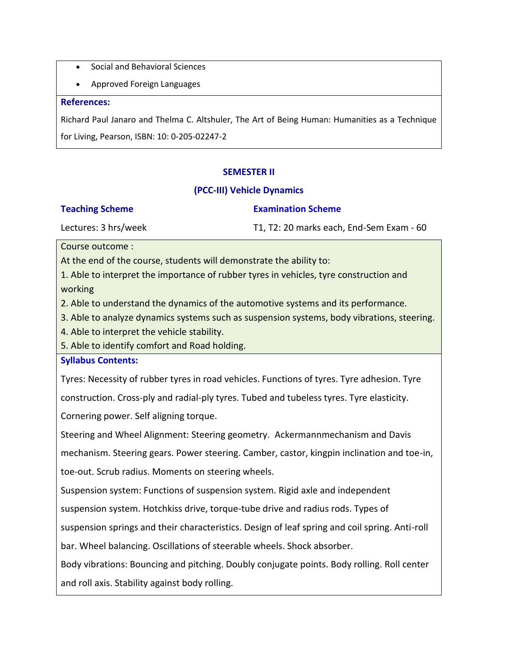- Social and Behavioral Sciences
- Approved Foreign Languages

#### **References:**

Richard Paul Janaro and Thelma C. Altshuler, The Art of Being Human: Humanities as a Technique for Living, Pearson, ISBN: 10: 0‐205‐02247‐2

## **SEMESTER II**

## **(PCC-III) Vehicle Dynamics**

#### **Teaching Scheme**

#### **Examination Scheme**

Lectures: 3 hrs/week

T1, T2: 20 marks each, End-Sem Exam - 60

Course outcome :

At the end of the course, students will demonstrate the ability to:

1. Able to interpret the importance of rubber tyres in vehicles, tyre construction and working

2. Able to understand the dynamics of the automotive systems and its performance.

3. Able to analyze dynamics systems such as suspension systems, body vibrations, steering.

4. Able to interpret the vehicle stability.

5. Able to identify comfort and Road holding.

#### **Syllabus Contents:**

Tyres: Necessity of rubber tyres in road vehicles. Functions of tyres. Tyre adhesion. Tyre

construction. Cross-ply and radial-ply tyres. Tubed and tubeless tyres. Tyre elasticity.

Cornering power. Self aligning torque.

Steering and Wheel Alignment: Steering geometry. Ackermannmechanism and Davis

mechanism. Steering gears. Power steering. Camber, castor, kingpin inclination and toe-in,

toe-out. Scrub radius. Moments on steering wheels.

Suspension system: Functions of suspension system. Rigid axle and independent

suspension system. Hotchkiss drive, torque-tube drive and radius rods. Types of

suspension springs and their characteristics. Design of leaf spring and coil spring. Anti-roll

bar. Wheel balancing. Oscillations of steerable wheels. Shock absorber.

Body vibrations: Bouncing and pitching. Doubly conjugate points. Body rolling. Roll center

and roll axis. Stability against body rolling.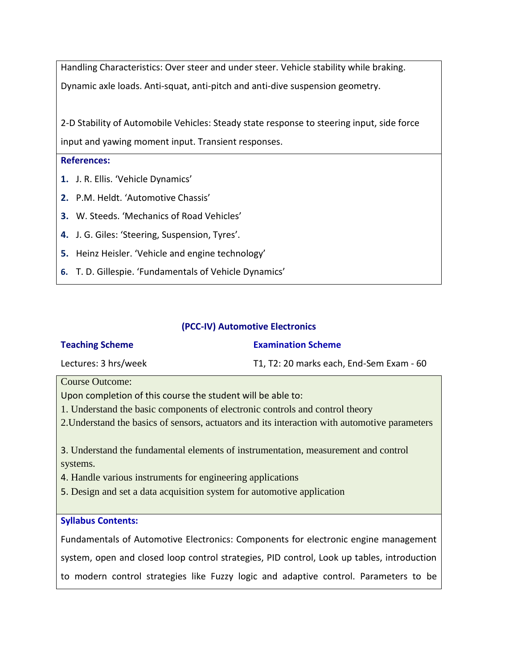Handling Characteristics: Over steer and under steer. Vehicle stability while braking. Dynamic axle loads. Anti-squat, anti-pitch and anti-dive suspension geometry.

2-D Stability of Automobile Vehicles: Steady state response to steering input, side force input and yawing moment input. Transient responses.

## **References:**

- **1.** J. R. Ellis. 'Vehicle Dynamics'
- **2.** P.M. Heldt. 'Automotive Chassis'
- **3.** W. Steeds. 'Mechanics of Road Vehicles'
- **4.** J. G. Giles: 'Steering, Suspension, Tyres'.
- **5.** Heinz Heisler. 'Vehicle and engine technology'
- **6.** T. D. Gillespie. 'Fundamentals of Vehicle Dynamics'

## **(PCC-IV) Automotive Electronics**

#### **Teaching Scheme**

## **Examination Scheme**

Lectures: 3 hrs/week

T1, T2: 20 marks each, End-Sem Exam - 60

Course Outcome:

Upon completion of this course the student will be able to:

- 1. Understand the basic components of electronic controls and control theory
- 2.Understand the basics of sensors, actuators and its interaction with automotive parameters

3. Understand the fundamental elements of instrumentation, measurement and control systems.

4. Handle various instruments for engineering applications

5. Design and set a data acquisition system for automotive application

## **Syllabus Contents:**

Fundamentals of Automotive Electronics: Components for electronic engine management system, open and closed loop control strategies, PID control, Look up tables, introduction to modern control strategies like Fuzzy logic and adaptive control. Parameters to be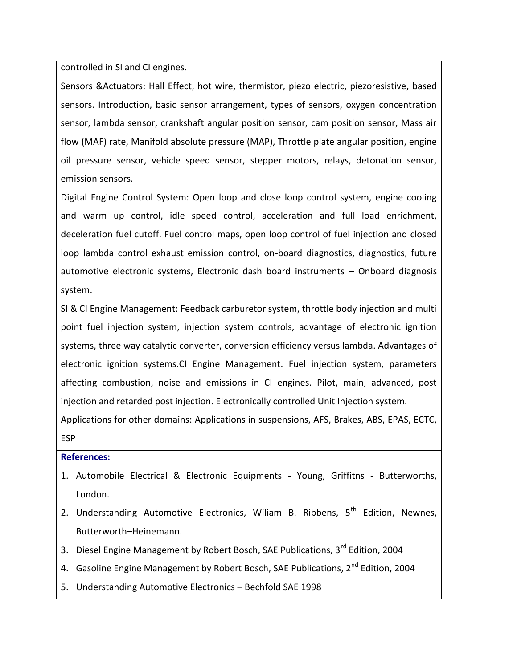controlled in SI and CI engines.

Sensors &Actuators: Hall Effect, hot wire, thermistor, piezo electric, piezoresistive, based sensors. Introduction, basic sensor arrangement, types of sensors, oxygen concentration sensor, lambda sensor, crankshaft angular position sensor, cam position sensor, Mass air flow (MAF) rate, Manifold absolute pressure (MAP), Throttle plate angular position, engine oil pressure sensor, vehicle speed sensor, stepper motors, relays, detonation sensor, emission sensors.

Digital Engine Control System: Open loop and close loop control system, engine cooling and warm up control, idle speed control, acceleration and full load enrichment, deceleration fuel cutoff. Fuel control maps, open loop control of fuel injection and closed loop lambda control exhaust emission control, on-board diagnostics, diagnostics, future automotive electronic systems, Electronic dash board instruments – Onboard diagnosis system.

SI & CI Engine Management: Feedback carburetor system, throttle body injection and multi point fuel injection system, injection system controls, advantage of electronic ignition systems, three way catalytic converter, conversion efficiency versus lambda. Advantages of electronic ignition systems.CI Engine Management. Fuel injection system, parameters affecting combustion, noise and emissions in CI engines. Pilot, main, advanced, post injection and retarded post injection. Electronically controlled Unit Injection system.

Applications for other domains: Applications in suspensions, AFS, Brakes, ABS, EPAS, ECTC, **FSP** 

## **References:**

- 1. Automobile Electrical & Electronic Equipments Young, Griffitns Butterworths, London.
- 2. Understanding Automotive Electronics, Wiliam B. Ribbens, 5<sup>th</sup> Edition, Newnes, Butterworth–Heinemann.
- 3. Diesel Engine Management by Robert Bosch, SAE Publications, 3<sup>rd</sup> Edition. 2004
- 4. Gasoline Engine Management by Robert Bosch, SAE Publications, 2<sup>nd</sup> Edition, 2004
- 5. Understanding Automotive Electronics Bechfold SAE 1998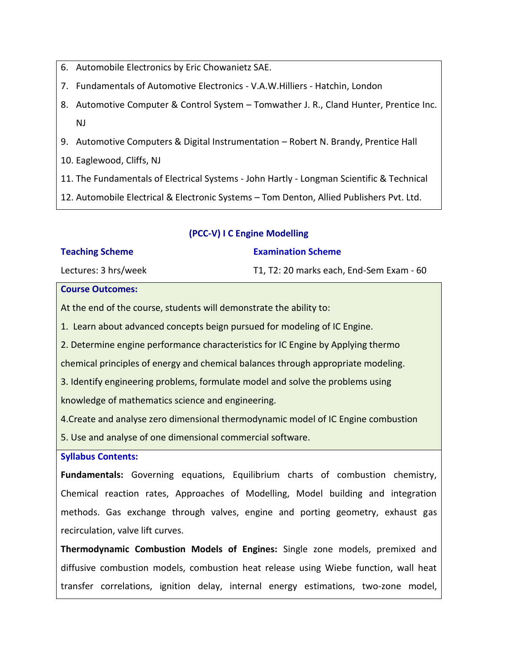- 6. Automobile Electronics by Eric Chowanietz SAE.
- 7. Fundamentals of Automotive Electronics V.A.W.Hilliers Hatchin, London
- 8. Automotive Computer & Control System Tomwather J. R., Cland Hunter, Prentice Inc. NJ
- 9. Automotive Computers & Digital Instrumentation Robert N. Brandy, Prentice Hall
- 10. Eaglewood, Cliffs, NJ
- 11. The Fundamentals of Electrical Systems John Hartly Longman Scientific & Technical
- 12. Automobile Electrical & Electronic Systems Tom Denton, Allied Publishers Pvt. Ltd.

| <b>Teaching Scheme</b> |  | <b>Examination Scheme</b>                |
|------------------------|--|------------------------------------------|
| Lectures: 3 hrs/week   |  | T1, T2: 20 marks each, End-Sem Exam - 60 |

**(PCC-V) I C Engine Modelling** 

#### **Course Outcomes:**

At the end of the course, students will demonstrate the ability to:

1. Learn about advanced concepts beign pursued for modeling of IC Engine.

2. Determine engine performance characteristics for IC Engine by Applying thermo

chemical principles of energy and chemical balances through appropriate modeling.

3. Identify engineering problems, formulate model and solve the problems using knowledge of mathematics science and engineering.

4.Create and analyse zero dimensional thermodynamic model of IC Engine combustion

5. Use and analyse of one dimensional commercial software.

**Syllabus Contents:**

**Fundamentals:** Governing equations, Equilibrium charts of combustion chemistry, Chemical reaction rates, Approaches of Modelling, Model building and integration methods. Gas exchange through valves, engine and porting geometry, exhaust gas recirculation, valve lift curves.

**Thermodynamic Combustion Models of Engines:** Single zone models, premixed and diffusive combustion models, combustion heat release using Wiebe function, wall heat transfer correlations, ignition delay, internal energy estimations, two-zone model,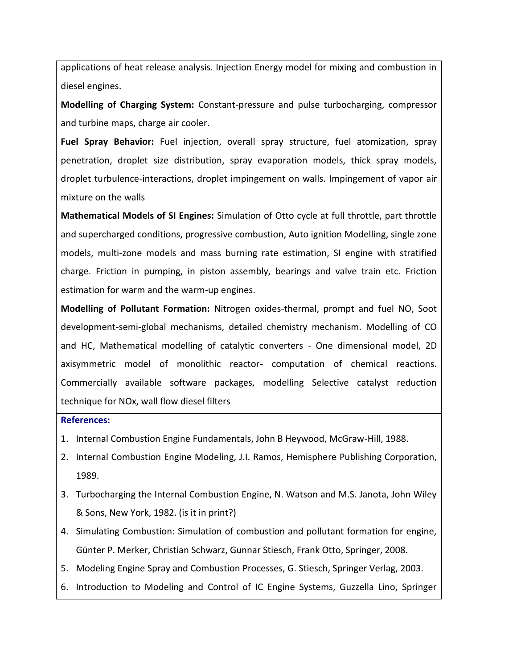applications of heat release analysis. Injection Energy model for mixing and combustion in diesel engines.

**Modelling of Charging System:** Constant-pressure and pulse turbocharging, compressor and turbine maps, charge air cooler.

**Fuel Spray Behavior:** Fuel injection, overall spray structure, fuel atomization, spray penetration, droplet size distribution, spray evaporation models, thick spray models, droplet turbulence-interactions, droplet impingement on walls. Impingement of vapor air mixture on the walls

**Mathematical Models of SI Engines:** Simulation of Otto cycle at full throttle, part throttle and supercharged conditions, progressive combustion, Auto ignition Modelling, single zone models, multi-zone models and mass burning rate estimation, SI engine with stratified charge. Friction in pumping, in piston assembly, bearings and valve train etc. Friction estimation for warm and the warm-up engines.

**Modelling of Pollutant Formation:** Nitrogen oxides-thermal, prompt and fuel NO, Soot development-semi-global mechanisms, detailed chemistry mechanism. Modelling of CO and HC, Mathematical modelling of catalytic converters - One dimensional model, 2D axisymmetric model of monolithic reactor- computation of chemical reactions. Commercially available software packages, modelling Selective catalyst reduction technique for NOx, wall flow diesel filters

#### **References:**

- 1. Internal Combustion Engine Fundamentals, John B Heywood, McGraw-Hill, 1988.
- 2. Internal Combustion Engine Modeling, J.I. Ramos, Hemisphere Publishing Corporation, 1989.
- 3. Turbocharging the Internal Combustion Engine, N. Watson and M.S. Janota, John Wiley & Sons, New York, 1982. (is it in print?)
- 4. Simulating Combustion: Simulation of combustion and pollutant formation for engine, Günter P. Merker, Christian Schwarz, Gunnar Stiesch, Frank Otto, Springer, 2008.
- 5. Modeling Engine Spray and Combustion Processes, G. Stiesch, Springer Verlag, 2003.
- 6. Introduction to Modeling and Control of IC Engine Systems, Guzzella Lino, Springer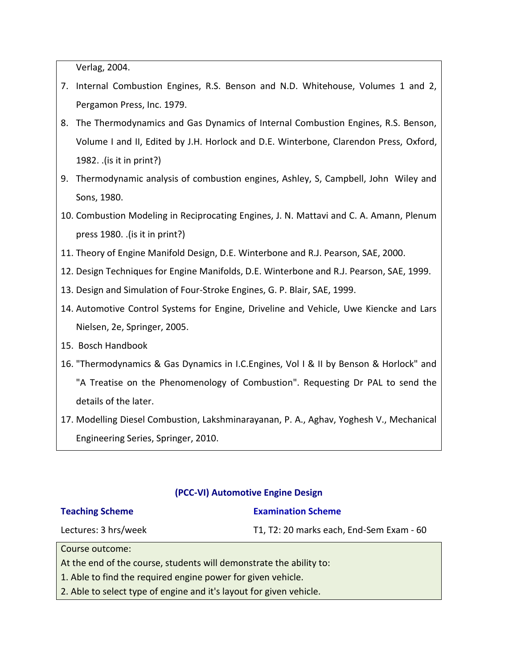Verlag, 2004.

- 7. Internal Combustion Engines, R.S. Benson and N.D. Whitehouse, Volumes 1 and 2, Pergamon Press, Inc. 1979.
- 8. The Thermodynamics and Gas Dynamics of Internal Combustion Engines, R.S. Benson, Volume I and II, Edited by J.H. Horlock and D.E. Winterbone, Clarendon Press, Oxford, 1982. .(is it in print?)
- 9. Thermodynamic analysis of combustion engines, Ashley, S, Campbell, John Wiley and Sons, 1980.
- 10. Combustion Modeling in Reciprocating Engines, J. N. Mattavi and C. A. Amann, Plenum press 1980. .(is it in print?)
- 11. Theory of Engine Manifold Design, D.E. Winterbone and R.J. Pearson, SAE, 2000.
- 12. Design Techniques for Engine Manifolds, D.E. Winterbone and R.J. Pearson, SAE, 1999.
- 13. Design and Simulation of Four-Stroke Engines, G. P. Blair, SAE, 1999.
- 14. Automotive Control Systems for Engine, Driveline and Vehicle, Uwe Kiencke and Lars Nielsen, 2e, Springer, 2005.
- 15. Bosch Handbook
- 16. "Thermodynamics & Gas Dynamics in I.C.Engines, Vol I & II by Benson & Horlock" and "A Treatise on the Phenomenology of Combustion". Requesting Dr PAL to send the details of the later.
- 17. Modelling Diesel Combustion, Lakshminarayanan, P. A., Aghav, Yoghesh V., Mechanical Engineering Series, Springer, 2010.

## **(PCC-VI) Automotive Engine Design**

#### **Teaching Scheme**

#### **Examination Scheme**

Lectures: 3 hrs/week

T1, T2: 20 marks each, End-Sem Exam - 60

Course outcome:

At the end of the course, students will demonstrate the ability to:

1. Able to find the required engine power for given vehicle.

2. Able to select type of engine and it's layout for given vehicle.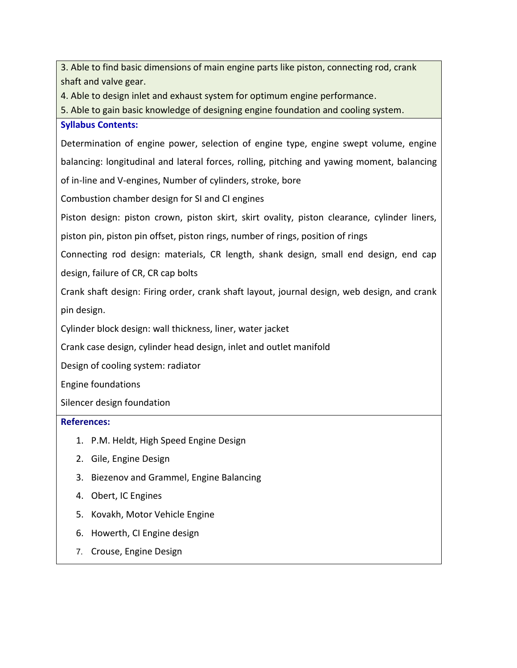3. Able to find basic dimensions of main engine parts like piston, connecting rod, crank shaft and valve gear.

4. Able to design inlet and exhaust system for optimum engine performance.

5. Able to gain basic knowledge of designing engine foundation and cooling system.

## **Syllabus Contents:**

Determination of engine power, selection of engine type, engine swept volume, engine balancing: longitudinal and lateral forces, rolling, pitching and yawing moment, balancing of in-line and V-engines, Number of cylinders, stroke, bore

Combustion chamber design for SI and CI engines

Piston design: piston crown, piston skirt, skirt ovality, piston clearance, cylinder liners,

piston pin, piston pin offset, piston rings, number of rings, position of rings

Connecting rod design: materials, CR length, shank design, small end design, end cap design, failure of CR, CR cap bolts

Crank shaft design: Firing order, crank shaft layout, journal design, web design, and crank pin design.

Cylinder block design: wall thickness, liner, water jacket

Crank case design, cylinder head design, inlet and outlet manifold

Design of cooling system: radiator

Engine foundations

Silencer design foundation

## **References:**

- 1. P.M. Heldt, High Speed Engine Design
- 2. Gile, Engine Design
- 3. Biezenov and Grammel, Engine Balancing
- 4. Obert, IC Engines
- 5. Kovakh, Motor Vehicle Engine
- 6. Howerth, CI Engine design
- 7. Crouse, Engine Design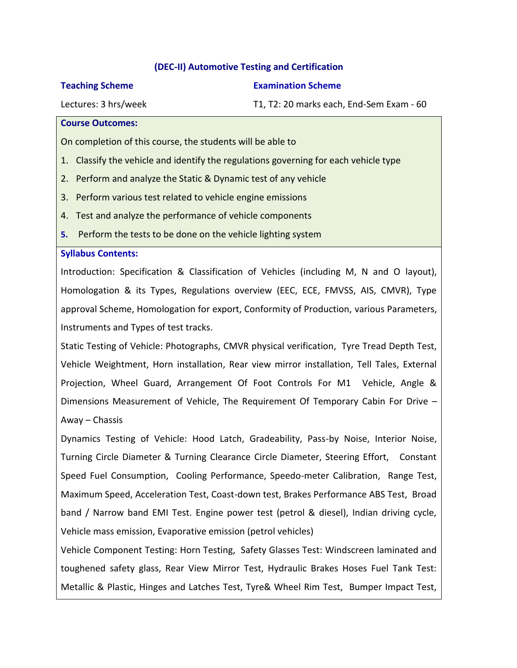## **(DEC-II) Automotive Testing and Certification**

#### **Teaching Scheme**

**Examination Scheme**

Lectures: 3 hrs/week

T1, T2: 20 marks each, End-Sem Exam - 60

#### **Course Outcomes:**

On completion of this course, the students will be able to

- 1. Classify the vehicle and identify the regulations governing for each vehicle type
- 2. Perform and analyze the Static & Dynamic test of any vehicle
- 3. Perform various test related to vehicle engine emissions
- 4. Test and analyze the performance of vehicle components
- **5.** Perform the tests to be done on the vehicle lighting system

## **Syllabus Contents:**

Introduction: Specification & Classification of Vehicles (including M, N and O layout), Homologation & its Types, Regulations overview (EEC, ECE, FMVSS, AIS, CMVR), Type approval Scheme, Homologation for export, Conformity of Production, various Parameters, Instruments and Types of test tracks.

Static Testing of Vehicle: Photographs, CMVR physical verification, Tyre Tread Depth Test, Vehicle Weightment, Horn installation, Rear view mirror installation, Tell Tales, External Projection, Wheel Guard, Arrangement Of Foot Controls For M1 Vehicle, Angle & Dimensions Measurement of Vehicle, The Requirement Of Temporary Cabin For Drive – Away – Chassis

Dynamics Testing of Vehicle: Hood Latch, Gradeability, Pass-by Noise, Interior Noise, Turning Circle Diameter & Turning Clearance Circle Diameter, Steering Effort, Constant Speed Fuel Consumption, Cooling Performance, Speedo-meter Calibration, Range Test, Maximum Speed, Acceleration Test, Coast-down test, Brakes Performance ABS Test, Broad band / Narrow band EMI Test. Engine power test (petrol & diesel), Indian driving cycle, Vehicle mass emission, Evaporative emission (petrol vehicles)

Vehicle Component Testing: Horn Testing, Safety Glasses Test: Windscreen laminated and toughened safety glass, Rear View Mirror Test, Hydraulic Brakes Hoses Fuel Tank Test: Metallic & Plastic, Hinges and Latches Test, Tyre& Wheel Rim Test, Bumper Impact Test,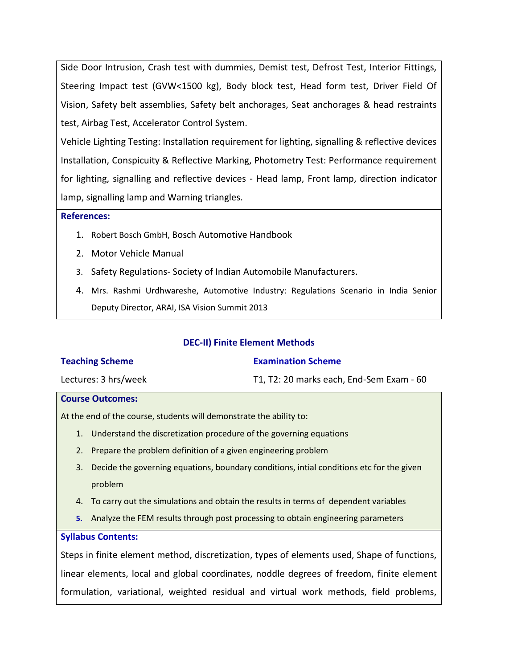Side Door Intrusion, Crash test with dummies, Demist test, Defrost Test, Interior Fittings, Steering Impact test (GVW<1500 kg), Body block test, Head form test, Driver Field Of Vision, Safety belt assemblies, Safety belt anchorages, Seat anchorages & head restraints test, Airbag Test, Accelerator Control System.

Vehicle Lighting Testing: Installation requirement for lighting, signalling & reflective devices Installation, Conspicuity & Reflective Marking, Photometry Test: Performance requirement for lighting, signalling and reflective devices - Head lamp, Front lamp, direction indicator lamp, signalling lamp and Warning triangles.

## **References:**

- 1. Robert Bosch GmbH, Bosch Automotive Handbook
- 2. Motor Vehicle Manual
- 3. Safety Regulations- Society of Indian Automobile Manufacturers.
- 4. Mrs. Rashmi Urdhwareshe, Automotive Industry: Regulations Scenario in India Senior Deputy Director, ARAI, ISA Vision Summit 2013

| <b>Teaching Scheme</b>  | <b>Examination Scheme</b>                |
|-------------------------|------------------------------------------|
| Lectures: 3 hrs/week    | T1, T2: 20 marks each, End-Sem Exam - 60 |
| <b>Course Outcomes:</b> |                                          |

**DEC-II) Finite Element Methods**

At the end of the course, students will demonstrate the ability to:

- 1. Understand the discretization procedure of the governing equations
- 2. Prepare the problem definition of a given engineering problem
- 3. Decide the governing equations, boundary conditions, intial conditions etc for the given problem
- 4. To carry out the simulations and obtain the results in terms of dependent variables
- **5.** Analyze the FEM results through post processing to obtain engineering parameters

## **Syllabus Contents:**

Steps in finite element method, discretization, types of elements used, Shape of functions, linear elements, local and global coordinates, noddle degrees of freedom, finite element formulation, variational, weighted residual and virtual work methods, field problems,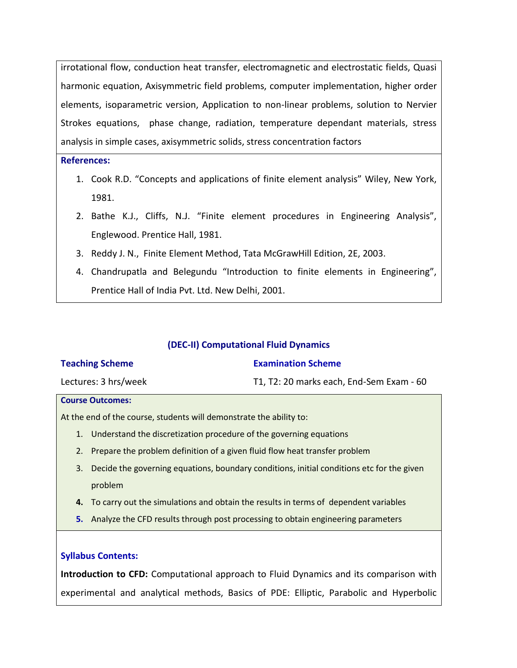irrotational flow, conduction heat transfer, electromagnetic and electrostatic fields, Quasi harmonic equation, Axisymmetric field problems, computer implementation, higher order elements, isoparametric version, Application to non-linear problems, solution to Nervier Strokes equations, phase change, radiation, temperature dependant materials, stress analysis in simple cases, axisymmetric solids, stress concentration factors

## **References:**

- 1. Cook R.D. "Concepts and applications of finite element analysis" Wiley, New York, 1981.
- 2. Bathe K.J., Cliffs, N.J. "Finite element procedures in Engineering Analysis", Englewood. Prentice Hall, 1981.
- 3. Reddy J. N., Finite Element Method, Tata McGrawHill Edition, 2E, 2003.
- 4. Chandrupatla and Belegundu "Introduction to finite elements in Engineering", Prentice Hall of India Pvt. Ltd. New Delhi, 2001.

## **(DEC-II) Computational Fluid Dynamics**

| <b>Teaching Scheme</b> | <b>Examination Scheme</b>                |
|------------------------|------------------------------------------|
| Lectures: 3 hrs/week   | T1, T2: 20 marks each, End-Sem Exam - 60 |

#### **Course Outcomes:**

At the end of the course, students will demonstrate the ability to:

- 1. Understand the discretization procedure of the governing equations
- 2. Prepare the problem definition of a given fluid flow heat transfer problem
- 3. Decide the governing equations, boundary conditions, initial conditions etc for the given problem
- **4.** To carry out the simulations and obtain the results in terms of dependent variables
- **5.** Analyze the CFD results through post processing to obtain engineering parameters

## **Syllabus Contents:**

**Introduction to CFD:** Computational approach to Fluid Dynamics and its comparison with experimental and analytical methods, Basics of PDE: Elliptic, Parabolic and Hyperbolic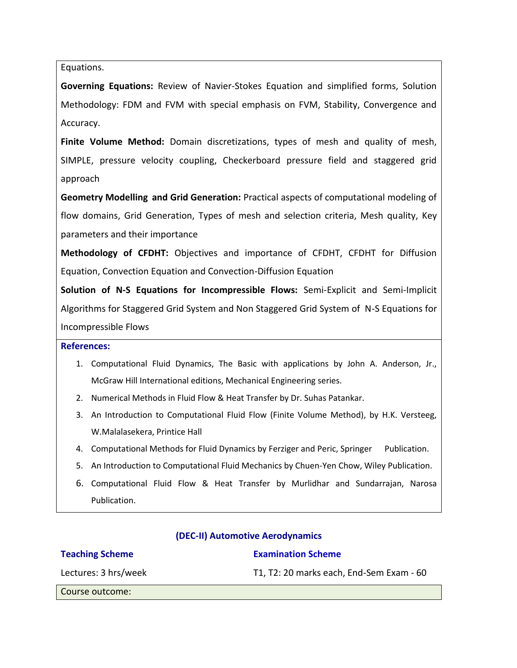Equations.

**Governing Equations:** Review of Navier-Stokes Equation and simplified forms, Solution Methodology: FDM and FVM with special emphasis on FVM, Stability, Convergence and Accuracy.

**Finite Volume Method:** Domain discretizations, types of mesh and quality of mesh, SIMPLE, pressure velocity coupling, Checkerboard pressure field and staggered grid approach

**Geometry Modelling and Grid Generation:** Practical aspects of computational modeling of flow domains, Grid Generation, Types of mesh and selection criteria, Mesh quality, Key parameters and their importance

**Methodology of CFDHT:** Objectives and importance of CFDHT, CFDHT for Diffusion Equation, Convection Equation and Convection-Diffusion Equation

**Solution of N-S Equations for Incompressible Flows:** Semi-Explicit and Semi-Implicit Algorithms for Staggered Grid System and Non Staggered Grid System of N-S Equations for Incompressible Flows

#### **References:**

- 1. Computational Fluid Dynamics, The Basic with applications by John A. Anderson, Jr., McGraw Hill International editions, Mechanical Engineering series.
- 2. Numerical Methods in Fluid Flow & Heat Transfer by Dr. Suhas Patankar.
- 3. An Introduction to Computational Fluid Flow (Finite Volume Method), by H.K. Versteeg, W.Malalasekera, Printice Hall
- 4. Computational Methods for Fluid Dynamics by Ferziger and Peric, Springer Publication.
- 5. An Introduction to Computational Fluid Mechanics by Chuen-Yen Chow, Wiley Publication.
- 6. Computational Fluid Flow & Heat Transfer by Murlidhar and Sundarrajan, Narosa Publication.

## **Teaching Scheme**

# **(DEC-II) Automotive Aerodynamics**

**Examination Scheme**

Lectures: 3 hrs/week

# T1, T2: 20 marks each, End-Sem Exam - 60

Course outcome: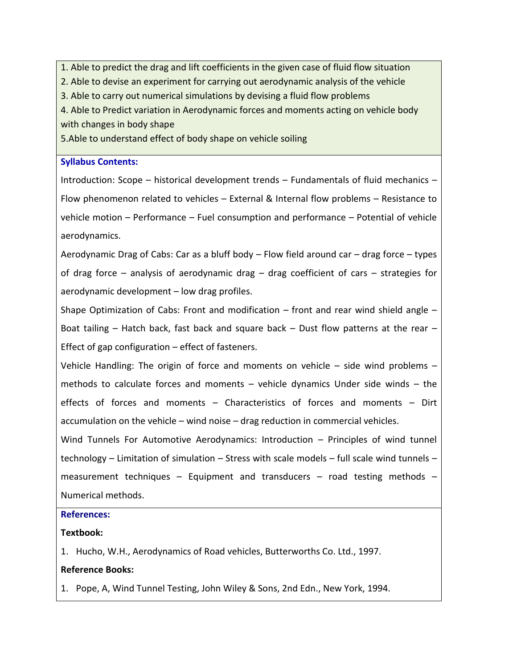1. Able to predict the drag and lift coefficients in the given case of fluid flow situation

2. Able to devise an experiment for carrying out aerodynamic analysis of the vehicle

3. Able to carry out numerical simulations by devising a fluid flow problems

4. Able to Predict variation in Aerodynamic forces and moments acting on vehicle body with changes in body shape

5.Able to understand effect of body shape on vehicle soiling

## **Syllabus Contents:**

Introduction: Scope – historical development trends – Fundamentals of fluid mechanics – Flow phenomenon related to vehicles – External & Internal flow problems – Resistance to vehicle motion – Performance – Fuel consumption and performance – Potential of vehicle aerodynamics.

Aerodynamic Drag of Cabs: Car as a bluff body – Flow field around car – drag force – types of drag force – analysis of aerodynamic drag – drag coefficient of cars – strategies for aerodynamic development – low drag profiles.

Shape Optimization of Cabs: Front and modification  $-$  front and rear wind shield angle  $-$ Boat tailing  $-$  Hatch back, fast back and square back  $-$  Dust flow patterns at the rear  $-$ Effect of gap configuration – effect of fasteners.

Vehicle Handling: The origin of force and moments on vehicle – side wind problems – methods to calculate forces and moments – vehicle dynamics Under side winds – the effects of forces and moments – Characteristics of forces and moments – Dirt accumulation on the vehicle – wind noise – drag reduction in commercial vehicles.

Wind Tunnels For Automotive Aerodynamics: Introduction – Principles of wind tunnel technology – Limitation of simulation – Stress with scale models – full scale wind tunnels – measurement techniques – Equipment and transducers – road testing methods – Numerical methods.

## **References:**

# **Textbook:**

1. Hucho, W.H., Aerodynamics of Road vehicles, Butterworths Co. Ltd., 1997.

# **Reference Books:**

1. Pope, A, Wind Tunnel Testing, John Wiley & Sons, 2nd Edn., New York, 1994.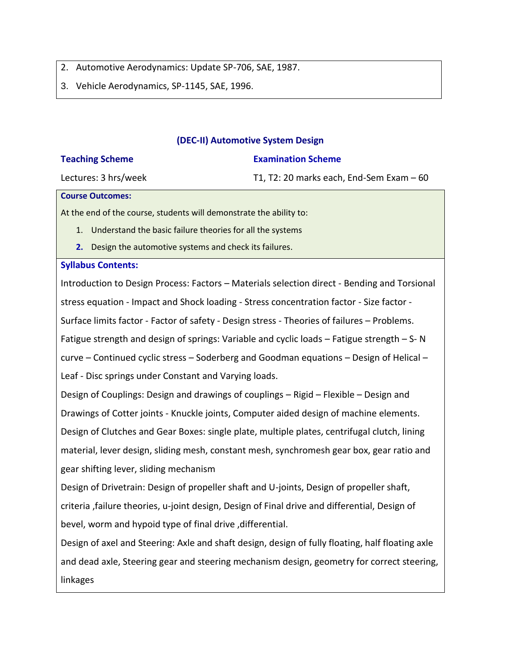2. Automotive Aerodynamics: Update SP-706, SAE, 1987.

3. Vehicle Aerodynamics, SP-1145, SAE, 1996.

#### **(DEC-II) Automotive System Design**

| <b>Teaching Scheme</b> | <b>Examination Scheme</b>                 |
|------------------------|-------------------------------------------|
| Lectures: 3 hrs/week   | T1, T2: 20 marks each, End-Sem Exam $-60$ |

#### **Course Outcomes:**

At the end of the course, students will demonstrate the ability to:

- 1. Understand the basic failure theories for all the systems
- **2.** Design the automotive systems and check its failures.

#### **Syllabus Contents:**

Introduction to Design Process: Factors – Materials selection direct - Bending and Torsional stress equation - Impact and Shock loading - Stress concentration factor - Size factor - Surface limits factor - Factor of safety - Design stress - Theories of failures – Problems. Fatigue strength and design of springs: Variable and cyclic loads – Fatigue strength – S- N curve – Continued cyclic stress – Soderberg and Goodman equations – Design of Helical – Leaf - Disc springs under Constant and Varying loads. Design of Couplings: Design and drawings of couplings – Rigid – Flexible – Design and Drawings of Cotter joints - Knuckle joints, Computer aided design of machine elements. Design of Clutches and Gear Boxes: single plate, multiple plates, centrifugal clutch, lining material, lever design, sliding mesh, constant mesh, synchromesh gear box, gear ratio and gear shifting lever, sliding mechanism

Design of Drivetrain: Design of propeller shaft and U-joints, Design of propeller shaft, criteria ,failure theories, u-joint design, Design of Final drive and differential, Design of bevel, worm and hypoid type of final drive , differential.

Design of axel and Steering: Axle and shaft design, design of fully floating, half floating axle and dead axle, Steering gear and steering mechanism design, geometry for correct steering, linkages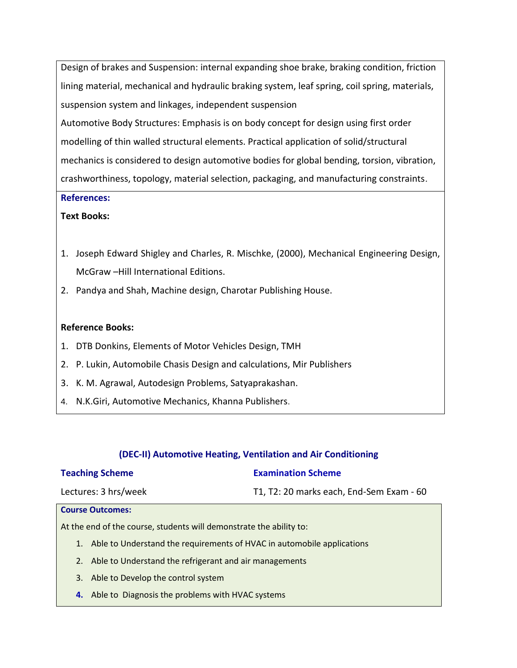Design of brakes and Suspension: internal expanding shoe brake, braking condition, friction lining material, mechanical and hydraulic braking system, leaf spring, coil spring, materials, suspension system and linkages, independent suspension

Automotive Body Structures: Emphasis is on body concept for design using first order modelling of thin walled structural elements. Practical application of solid/structural mechanics is considered to design automotive bodies for global bending, torsion, vibration, crashworthiness, topology, material selection, packaging, and manufacturing constraints.

## **References:**

## **Text Books:**

- 1. Joseph Edward Shigley and Charles, R. Mischke, (2000), Mechanical Engineering Design, McGraw –Hill International Editions.
- 2. Pandya and Shah, Machine design, Charotar Publishing House.

## **Reference Books:**

- 1. DTB Donkins, Elements of Motor Vehicles Design, TMH
- 2. P. Lukin, Automobile Chasis Design and calculations, Mir Publishers
- 3. K. M. Agrawal, Autodesign Problems, Satyaprakashan.
- 4. N.K.Giri, Automotive Mechanics, Khanna Publishers.

## **(DEC-II) Automotive Heating, Ventilation and Air Conditioning**

| <b>Teaching Scheme</b>                                                    | <b>Examination Scheme</b>                |  |
|---------------------------------------------------------------------------|------------------------------------------|--|
| Lectures: 3 hrs/week                                                      | T1, T2: 20 marks each, End-Sem Exam - 60 |  |
| <b>Course Outcomes:</b>                                                   |                                          |  |
| At the end of the course, students will demonstrate the ability to:       |                                          |  |
| 1. Able to Understand the requirements of HVAC in automobile applications |                                          |  |
| Able to Understand the refrigerant and air managements<br>2.              |                                          |  |

- 3. Able to Develop the control system
- **4.** Able to Diagnosis the problems with HVAC systems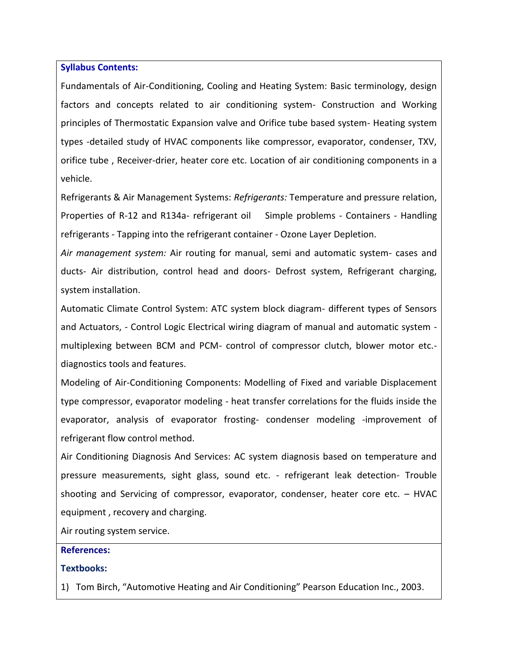#### **Syllabus Contents:**

Fundamentals of Air-Conditioning, Cooling and Heating System: Basic terminology, design factors and concepts related to air conditioning system- Construction and Working principles of Thermostatic Expansion valve and Orifice tube based system- Heating system types -detailed study of HVAC components like compressor, evaporator, condenser, TXV, orifice tube , Receiver-drier, heater core etc. Location of air conditioning components in a vehicle.

Refrigerants & Air Management Systems: *Refrigerants:* Temperature and pressure relation, Properties of R-12 and R134a- refrigerant oil Simple problems - Containers - Handling refrigerants - Tapping into the refrigerant container - Ozone Layer Depletion.

*Air management system:* Air routing for manual, semi and automatic system- cases and ducts- Air distribution, control head and doors- Defrost system, Refrigerant charging, system installation.

Automatic Climate Control System: ATC system block diagram- different types of Sensors and Actuators, - Control Logic Electrical wiring diagram of manual and automatic system multiplexing between BCM and PCM- control of compressor clutch, blower motor etc. diagnostics tools and features.

Modeling of Air-Conditioning Components: Modelling of Fixed and variable Displacement type compressor, evaporator modeling - heat transfer correlations for the fluids inside the evaporator, analysis of evaporator frosting- condenser modeling -improvement of refrigerant flow control method.

Air Conditioning Diagnosis And Services: AC system diagnosis based on temperature and pressure measurements, sight glass, sound etc. - refrigerant leak detection- Trouble shooting and Servicing of compressor, evaporator, condenser, heater core etc. – HVAC equipment , recovery and charging.

Air routing system service.

#### **References:**

#### **Textbooks:**

1) Tom Birch, "Automotive Heating and Air Conditioning" Pearson Education Inc., 2003.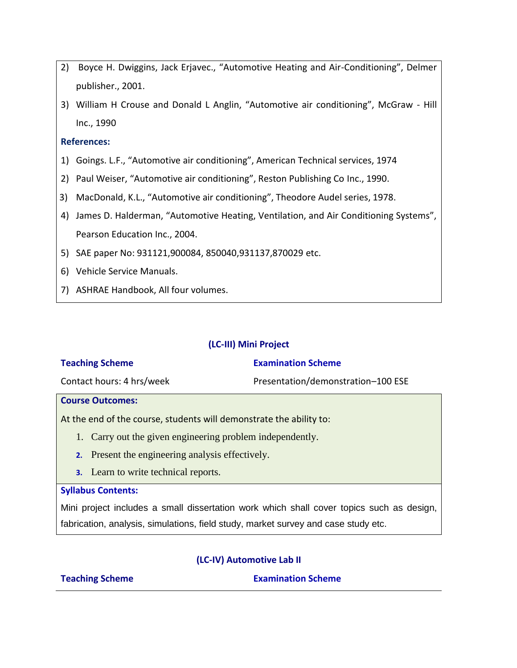- 2) Boyce H. Dwiggins, Jack Erjavec., "Automotive Heating and Air-Conditioning", Delmer publisher., 2001.
- 3) William H Crouse and Donald L Anglin, "Automotive air conditioning", McGraw Hill Inc., 1990

## **References:**

- 1) Goings. L.F., "Automotive air conditioning", American Technical services, 1974
- 2) Paul Weiser, "Automotive air conditioning", Reston Publishing Co Inc., 1990.
- 3) MacDonald, K.L., "Automotive air conditioning", Theodore Audel series, 1978.
- 4) James D. Halderman, "Automotive Heating, Ventilation, and Air Conditioning Systems", Pearson Education Inc., 2004.
- 5) SAE paper No: 931121,900084, 850040,931137,870029 etc.
- 6) Vehicle Service Manuals.
- 7) ASHRAE Handbook, All four volumes.

## **(LC-III) Mini Project**

| <b>Teaching Scheme</b>    | <b>Examination Scheme</b>          |
|---------------------------|------------------------------------|
| Contact hours: 4 hrs/week | Presentation/demonstration-100 ESE |

#### **Course Outcomes:**

At the end of the course, students will demonstrate the ability to:

- 1. Carry out the given engineering problem independently.
- **2.** Present the engineering analysis effectively.
- **3.** Learn to write technical reports.

#### **Syllabus Contents:**

Mini project includes a small dissertation work which shall cover topics such as design, fabrication, analysis, simulations, field study, market survey and case study etc.

## **(LC-IV) Automotive Lab II**

**Teaching Scheme Examination Scheme**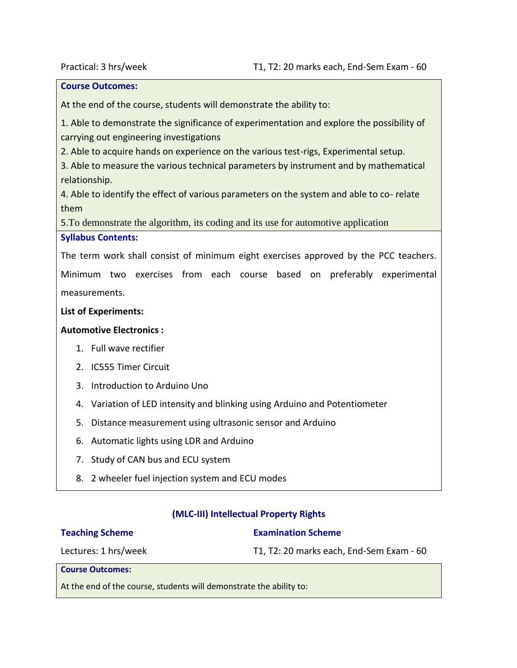#### **Course Outcomes:**

At the end of the course, students will demonstrate the ability to:

1. Able to demonstrate the significance of experimentation and explore the possibility of carrying out engineering investigations

2. Able to acquire hands on experience on the various test-rigs, Experimental setup.

3. Able to measure the various technical parameters by instrument and by mathematical relationship.

4. Able to identify the effect of various parameters on the system and able to co- relate them

5.To demonstrate the algorithm, its coding and its use for automotive application

## **Syllabus Contents:**

The term work shall consist of minimum eight exercises approved by the PCC teachers.

Minimum two exercises from each course based on preferably experimental measurements.

#### **List of Experiments:**

#### **Automotive Electronics :**

- 1. Full wave rectifier
- 2. IC555 Timer Circuit
- 3. Introduction to Arduino Uno
- 4. Variation of LED intensity and blinking using Arduino and Potentiometer
- 5. Distance measurement using ultrasonic sensor and Arduino
- 6. Automatic lights using LDR and Arduino
- 7. Study of CAN bus and ECU system
- 8. 2 wheeler fuel injection system and ECU modes

#### **(MLC-III) Intellectual Property Rights**

#### **Teaching Scheme**

#### **Examination Scheme**

Lectures: 1 hrs/week

T1, T2: 20 marks each, End-Sem Exam - 60

**Course Outcomes:**

At the end of the course, students will demonstrate the ability to: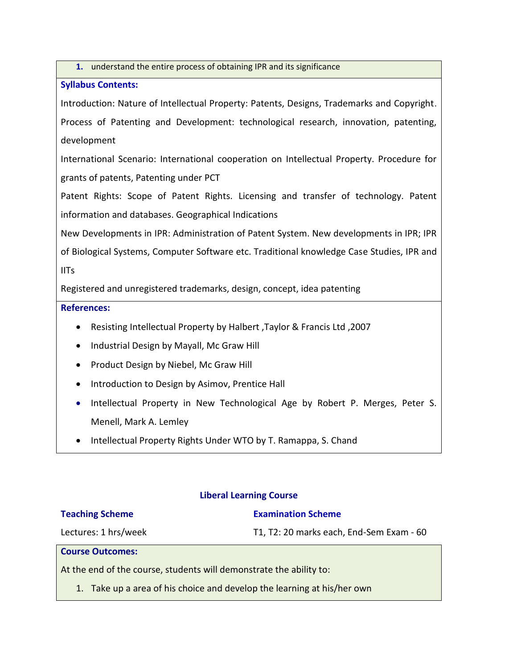**1.** understand the entire process of obtaining IPR and its significance

## **Syllabus Contents:**

Introduction: Nature of Intellectual Property: Patents, Designs, Trademarks and Copyright. Process of Patenting and Development: technological research, innovation, patenting, development

International Scenario: International cooperation on Intellectual Property. Procedure for grants of patents, Patenting under PCT

Patent Rights: Scope of Patent Rights. Licensing and transfer of technology. Patent information and databases. Geographical Indications

New Developments in IPR: Administration of Patent System. New developments in IPR; IPR of Biological Systems, Computer Software etc. Traditional knowledge Case Studies, IPR and IITs

Registered and unregistered trademarks, design, concept, idea patenting

## **References:**

- Resisting Intellectual Property by Halbert ,Taylor & Francis Ltd ,2007
- Industrial Design by Mayall, Mc Graw Hill
- Product Design by Niebel, Mc Graw Hill
- Introduction to Design by Asimov, Prentice Hall
- Intellectual Property in New Technological Age by Robert P. Merges, Peter S. Menell, Mark A. Lemley
- Intellectual Property Rights Under WTO by T. Ramappa, S. Chand

## **Liberal Learning Course**

#### **Teaching Scheme**

#### **Examination Scheme**

Lectures: 1 hrs/week

T1, T2: 20 marks each, End-Sem Exam - 60

#### **Course Outcomes:**

At the end of the course, students will demonstrate the ability to:

1. Take up a area of his choice and develop the learning at his/her own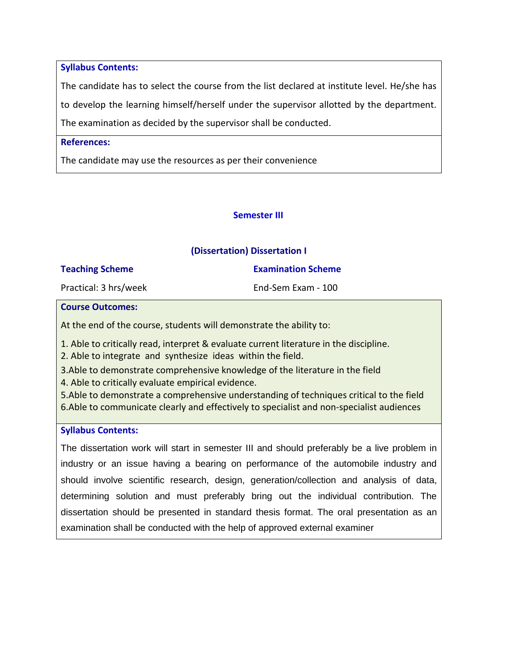**Syllabus Contents:**

The candidate has to select the course from the list declared at institute level. He/she has to develop the learning himself/herself under the supervisor allotted by the department. The examination as decided by the supervisor shall be conducted.

## **References:**

The candidate may use the resources as per their convenience

## **Semester III**

## **(Dissertation) Dissertation I**

| <b>Teaching Scheme</b> | <b>Examination Scheme</b> |
|------------------------|---------------------------|
| Practical: 3 hrs/week  | End-Sem Exam - 100        |

#### **Course Outcomes:**

At the end of the course, students will demonstrate the ability to:

1. Able to critically read, interpret & evaluate current literature in the discipline.

2. Able to integrate and synthesize ideas within the field.

3.Able to demonstrate comprehensive knowledge of the literature in the field

4. Able to critically evaluate empirical evidence.

5.Able to demonstrate a comprehensive understanding of techniques critical to the field 6.Able to communicate clearly and effectively to specialist and non‐specialist audiences

#### **Syllabus Contents:**

The dissertation work will start in semester III and should preferably be a live problem in industry or an issue having a bearing on performance of the automobile industry and should involve scientific research, design, generation/collection and analysis of data, determining solution and must preferably bring out the individual contribution. The dissertation should be presented in standard thesis format. The oral presentation as an examination shall be conducted with the help of approved external examiner